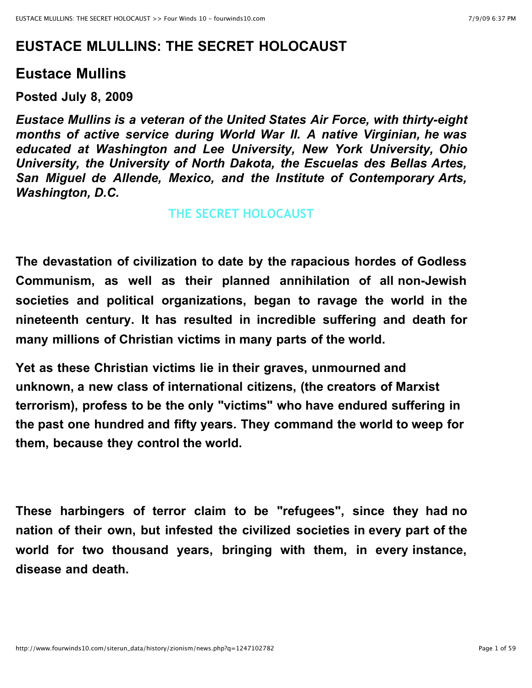# **EUSTACE MLULLINS: THE SECRET HOLOCAUST**

### **Eustace Mullins**

#### **Posted July 8, 2009**

*Eustace Mullins is a veteran of the United States Air Force, with thirty-eight months of active service during World War II. A native Virginian, he was educated at Washington and Lee University, New York University, Ohio University, the University of North Dakota, the Escuelas des Bellas Artes, San Miguel de Allende, Mexico, and the Institute of Contemporary Arts, Washington, D.C.*

#### **THE SECRET HOLOCAUST**

**The devastation of civilization to date by the rapacious hordes of Godless Communism, as well as their planned annihilation of all non-Jewish societies and political organizations, began to ravage the world in the nineteenth century. It has resulted in incredible suffering and death for many millions of Christian victims in many parts of the world.**

**Yet as these Christian victims lie in their graves, unmourned and unknown, a new class of international citizens, (the creators of Marxist terrorism), profess to be the only "victims" who have endured suffering in the past one hundred and fifty years. They command the world to weep for them, because they control the world.**

**These harbingers of terror claim to be "refugees", since they had no nation of their own, but infested the civilized societies in every part of the world for two thousand years, bringing with them, in every instance, disease and death.**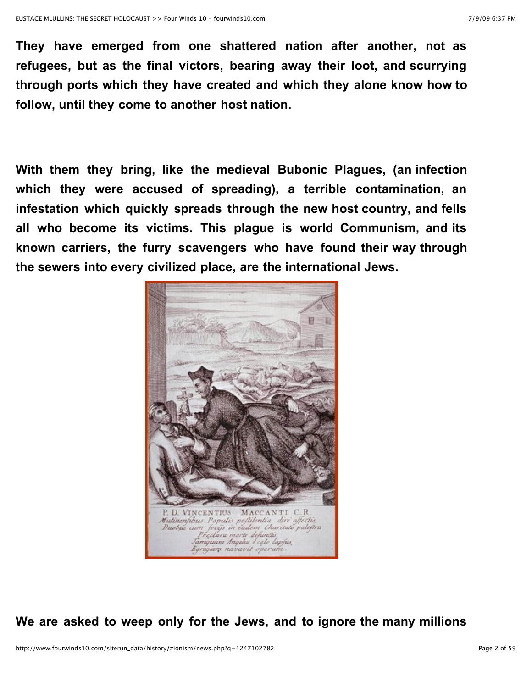**They have emerged from one shattered nation after another, not as refugees, but as the final victors, bearing away their loot, and scurrying through ports which they have created and which they alone know how to follow, until they come to another host nation.**

**With them they bring, like the medieval Bubonic Plagues, (an infection which they were accused of spreading), a terrible contamination, an infestation which quickly spreads through the new host country, and fells all who become its victims. This plague is world Communism, and its known carriers, the furry scavengers who have found their way through the sewers into every civilized place, are the international Jews.**



**We are asked to weep only for the Jews, and to ignore the many millions**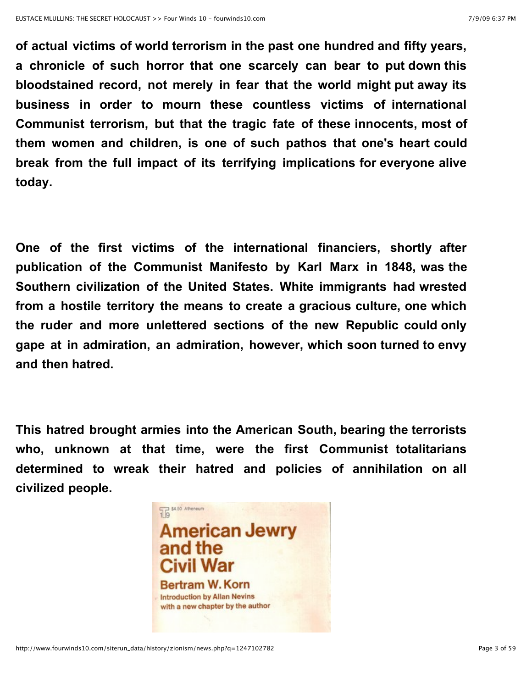**of actual victims of world terrorism in the past one hundred and fifty years, a chronicle of such horror that one scarcely can bear to put down this bloodstained record, not merely in fear that the world might put away its business in order to mourn these countless victims of international Communist terrorism, but that the tragic fate of these innocents, most of them women and children, is one of such pathos that one's heart could break from the full impact of its terrifying implications for everyone alive today.**

**One of the first victims of the international financiers, shortly after publication of the Communist Manifesto by Karl Marx in 1848, was the Southern civilization of the United States. White immigrants had wrested from a hostile territory the means to create a gracious culture, one which the ruder and more unlettered sections of the new Republic could only gape at in admiration, an admiration, however, which soon turned to envy and then hatred.**

**This hatred brought armies into the American South, bearing the terrorists who, unknown at that time, were the first Communist totalitarians determined to wreak their hatred and policies of annihilation on all civilized people.**

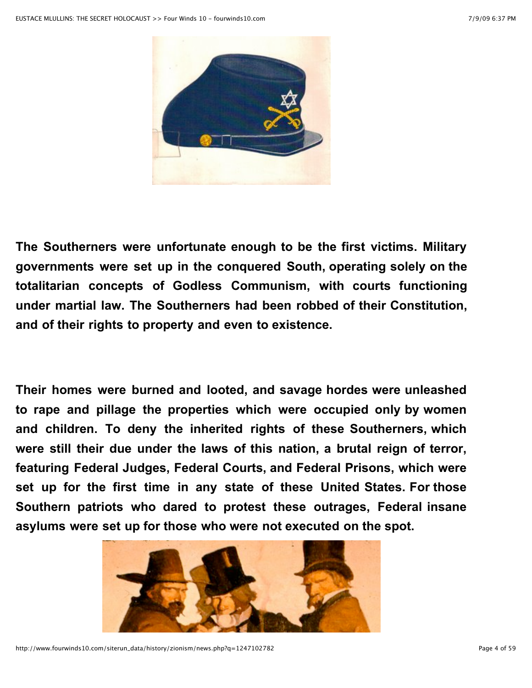

**The Southerners were unfortunate enough to be the first victims. Military governments were set up in the conquered South, operating solely on the totalitarian concepts of Godless Communism, with courts functioning under martial law. The Southerners had been robbed of their Constitution, and of their rights to property and even to existence.**

**Their homes were burned and looted, and savage hordes were unleashed to rape and pillage the properties which were occupied only by women and children. To deny the inherited rights of these Southerners, which were still their due under the laws of this nation, a brutal reign of terror, featuring Federal Judges, Federal Courts, and Federal Prisons, which were set up for the first time in any state of these United States. For those Southern patriots who dared to protest these outrages, Federal insane asylums were set up for those who were not executed on the spot.**

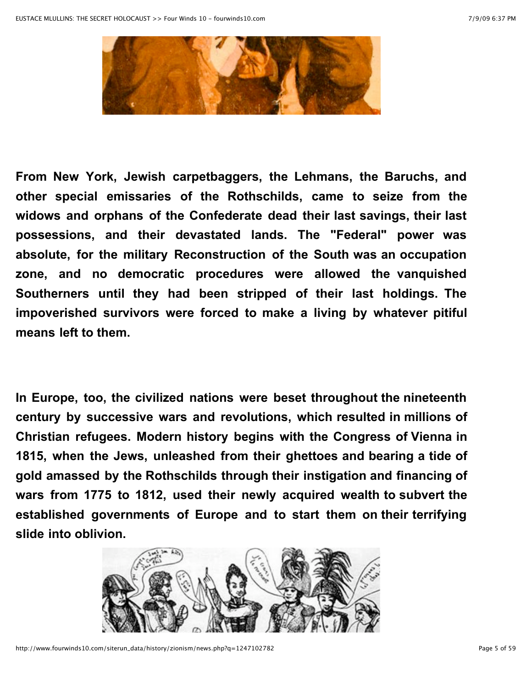

**From New York, Jewish carpetbaggers, the Lehmans, the Baruchs, and other special emissaries of the Rothschilds, came to seize from the widows and orphans of the Confederate dead their last savings, their last possessions, and their devastated lands. The "Federal" power was absolute, for the military Reconstruction of the South was an occupation zone, and no democratic procedures were allowed the vanquished Southerners until they had been stripped of their last holdings. The impoverished survivors were forced to make a living by whatever pitiful means left to them.**

**In Europe, too, the civilized nations were beset throughout the nineteenth century by successive wars and revolutions, which resulted in millions of Christian refugees. Modern history begins with the Congress of Vienna in 1815, when the Jews, unleashed from their ghettoes and bearing a tide of gold amassed by the Rothschilds through their instigation and financing of wars from 1775 to 1812, used their newly acquired wealth to subvert the established governments of Europe and to start them on their terrifying slide into oblivion.**

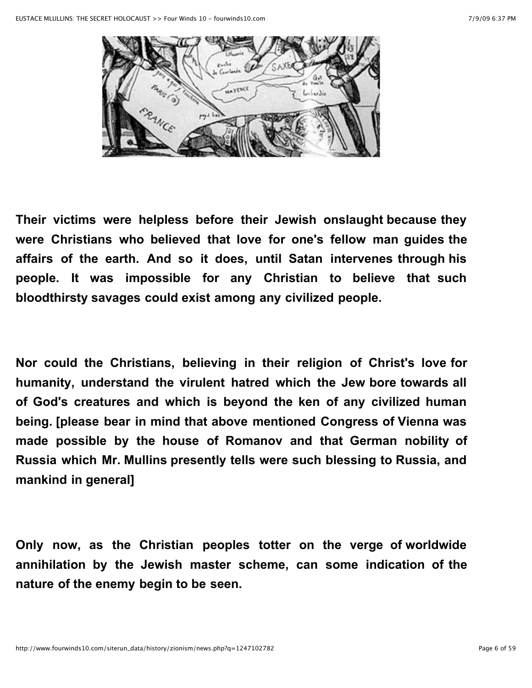

**Their victims were helpless before their Jewish onslaught because they were Christians who believed that love for one's fellow man guides the affairs of the earth. And so it does, until Satan intervenes through his people. It was impossible for any Christian to believe that such bloodthirsty savages could exist among any civilized people.**

**Nor could the Christians, believing in their religion of Christ's love for humanity, understand the virulent hatred which the Jew bore towards all of God's creatures and which is beyond the ken of any civilized human being. [please bear in mind that above mentioned Congress of Vienna was made possible by the house of Romanov and that German nobility of Russia which Mr. Mullins presently tells were such blessing to Russia, and mankind in general]**

**Only now, as the Christian peoples totter on the verge of worldwide annihilation by the Jewish master scheme, can some indication of the nature of the enemy begin to be seen.**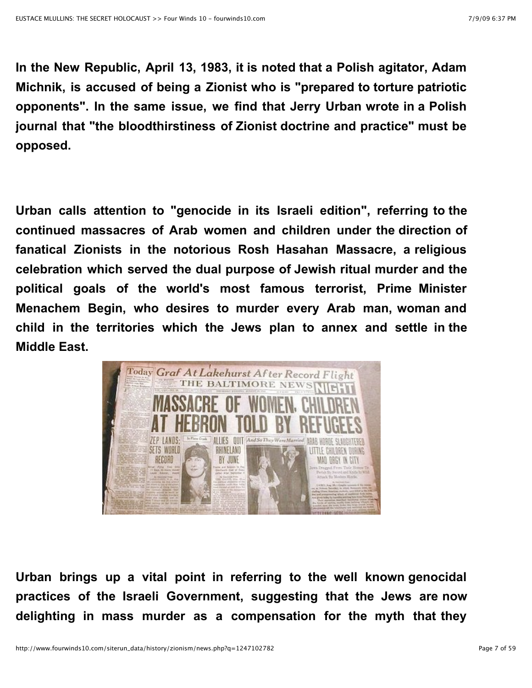**In the New Republic, April 13, 1983, it is noted that a Polish agitator, Adam Michnik, is accused of being a Zionist who is "prepared to torture patriotic opponents". In the same issue, we find that Jerry Urban wrote in a Polish journal that "the bloodthirstiness of Zionist doctrine and practice" must be opposed.**

**Urban calls attention to "genocide in its Israeli edition", referring to the continued massacres of Arab women and children under the direction of fanatical Zionists in the notorious Rosh Hasahan Massacre, a religious celebration which served the dual purpose of Jewish ritual murder and the political goals of the world's most famous terrorist, Prime Minister Menachem Begin, who desires to murder every Arab man, woman and child in the territories which the Jews plan to annex and settle in the Middle East.**



**Urban brings up a vital point in referring to the well known genocidal practices of the Israeli Government, suggesting that the Jews are now delighting in mass murder as a compensation for the myth that they**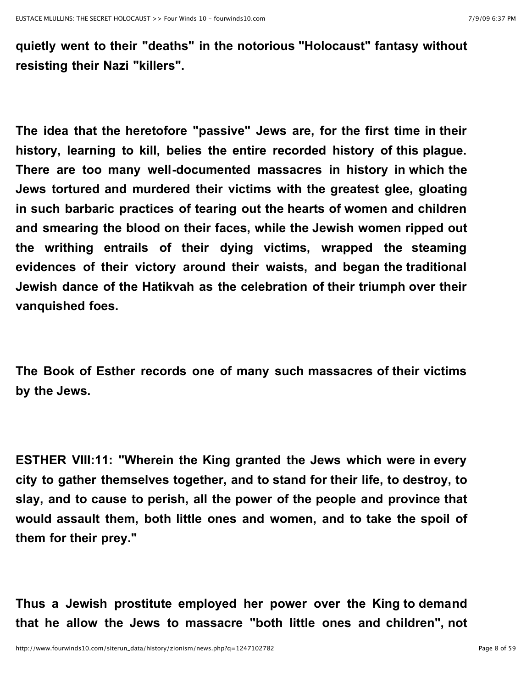**quietly went to their "deaths" in the notorious "Holocaust" fantasy without resisting their Nazi "killers".**

**The idea that the heretofore "passive" Jews are, for the first time in their history, learning to kill, belies the entire recorded history of this plague. There are too many well-documented massacres in history in which the Jews tortured and murdered their victims with the greatest glee, gloating in such barbaric practices of tearing out the hearts of women and children and smearing the blood on their faces, while the Jewish women ripped out the writhing entrails of their dying victims, wrapped the steaming evidences of their victory around their waists, and began the traditional Jewish dance of the Hatikvah as the celebration of their triumph over their vanquished foes.**

**The Book of Esther records one of many such massacres of their victims by the Jews.**

**ESTHER VIII:11: "Wherein the King granted the Jews which were in every city to gather themselves together, and to stand for their life, to destroy, to slay, and to cause to perish, all the power of the people and province that would assault them, both little ones and women, and to take the spoil of them for their prey."**

**Thus a Jewish prostitute employed her power over the King to demand that he allow the Jews to massacre "both little ones and children", not**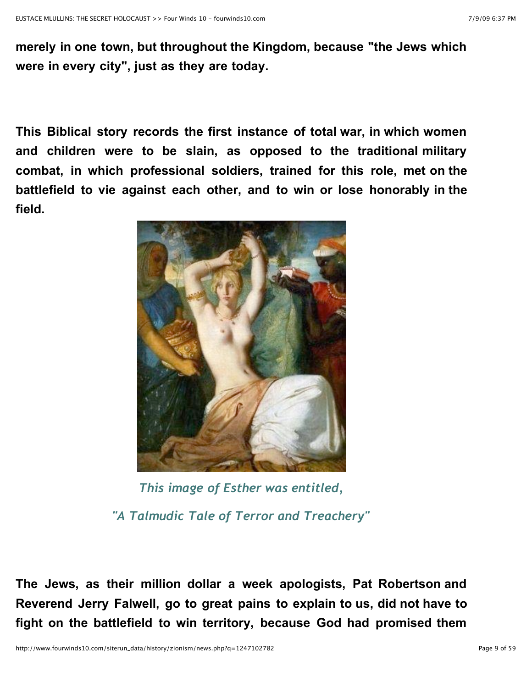**merely in one town, but throughout the Kingdom, because "the Jews which were in every city", just as they are today.**

**This Biblical story records the first instance of total war, in which women and children were to be slain, as opposed to the traditional military combat, in which professional soldiers, trained for this role, met on the battlefield to vie against each other, and to win or lose honorably in the field.**



*This image of Esther was entitled, "A Talmudic Tale of Terror and Treachery"*

**The Jews, as their million dollar a week apologists, Pat Robertson and Reverend Jerry Falwell, go to great pains to explain to us, did not have to fight on the battlefield to win territory, because God had promised them**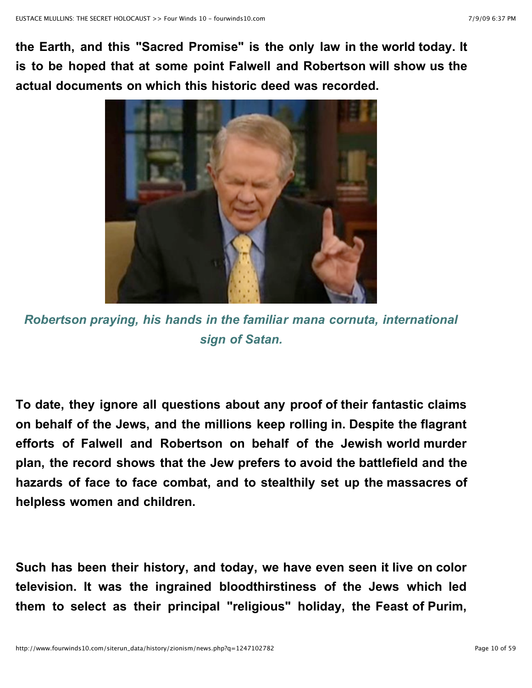**the Earth, and this "Sacred Promise" is the only law in the world today. It is to be hoped that at some point Falwell and Robertson will show us the actual documents on which this historic deed was recorded.**



*Robertson praying, his hands in the familiar mana cornuta, international sign of Satan.*

**To date, they ignore all questions about any proof of their fantastic claims on behalf of the Jews, and the millions keep rolling in. Despite the flagrant efforts of Falwell and Robertson on behalf of the Jewish world murder plan, the record shows that the Jew prefers to avoid the battlefield and the hazards of face to face combat, and to stealthily set up the massacres of helpless women and children.**

**Such has been their history, and today, we have even seen it live on color television. It was the ingrained bloodthirstiness of the Jews which led them to select as their principal "religious" holiday, the Feast of Purim,**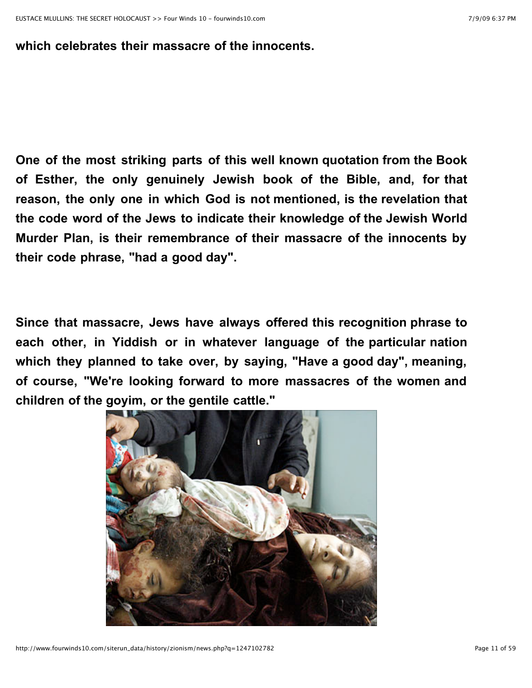#### **which celebrates their massacre of the innocents.**

**One of the most striking parts of this well known quotation from the Book of Esther, the only genuinely Jewish book of the Bible, and, for that reason, the only one in which God is not mentioned, is the revelation that the code word of the Jews to indicate their knowledge of the Jewish World Murder Plan, is their remembrance of their massacre of the innocents by their code phrase, "had a good day".**

**Since that massacre, Jews have always offered this recognition phrase to each other, in Yiddish or in whatever language of the particular nation which they planned to take over, by saying, "Have a good day", meaning, of course, "We're looking forward to more massacres of the women and children of the goyim, or the gentile cattle."**

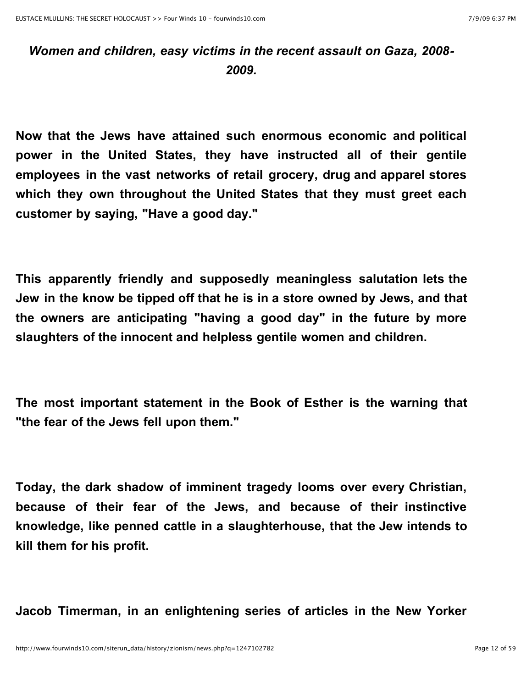## *Women and children, easy victims in the recent assault on Gaza, 2008- 2009.*

**Now that the Jews have attained such enormous economic and political power in the United States, they have instructed all of their gentile employees in the vast networks of retail grocery, drug and apparel stores which they own throughout the United States that they must greet each customer by saying, "Have a good day."**

**This apparently friendly and supposedly meaningless salutation lets the Jew in the know be tipped off that he is in a store owned by Jews, and that the owners are anticipating "having a good day" in the future by more slaughters of the innocent and helpless gentile women and children.**

**The most important statement in the Book of Esther is the warning that "the fear of the Jews fell upon them."**

**Today, the dark shadow of imminent tragedy looms over every Christian, because of their fear of the Jews, and because of their instinctive knowledge, like penned cattle in a slaughterhouse, that the Jew intends to kill them for his profit.**

**Jacob Timerman, in an enlightening series of articles in the New Yorker**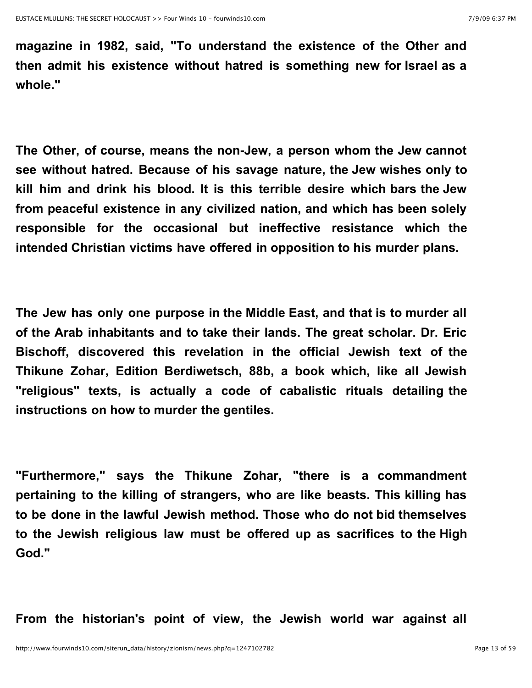**magazine in 1982, said, "To understand the existence of the Other and then admit his existence without hatred is something new for Israel as a whole."**

**The Other, of course, means the non-Jew, a person whom the Jew cannot see without hatred. Because of his savage nature, the Jew wishes only to kill him and drink his blood. It is this terrible desire which bars the Jew from peaceful existence in any civilized nation, and which has been solely responsible for the occasional but ineffective resistance which the intended Christian victims have offered in opposition to his murder plans.**

**The Jew has only one purpose in the Middle East, and that is to murder all of the Arab inhabitants and to take their lands. The great scholar. Dr. Eric Bischoff, discovered this revelation in the official Jewish text of the Thikune Zohar, Edition Berdiwetsch, 88b, a book which, like all Jewish "religious" texts, is actually a code of cabalistic rituals detailing the instructions on how to murder the gentiles.**

**"Furthermore," says the Thikune Zohar, "there is a commandment pertaining to the killing of strangers, who are like beasts. This killing has to be done in the lawful Jewish method. Those who do not bid themselves to the Jewish religious law must be offered up as sacrifices to the High God."**

**From the historian's point of view, the Jewish world war against all**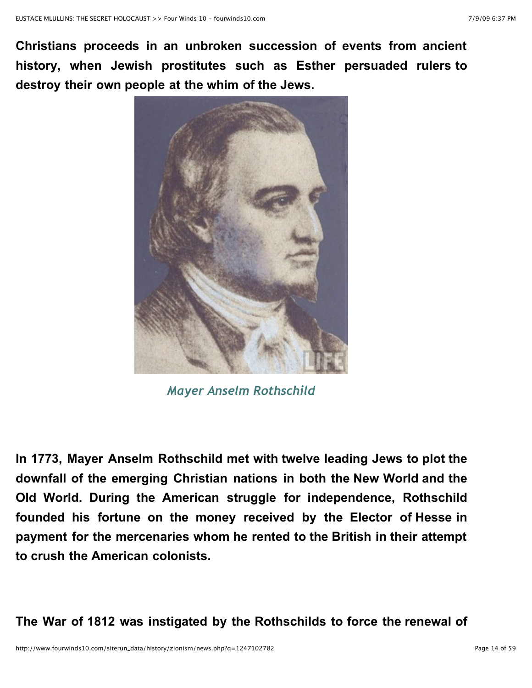**Christians proceeds in an unbroken succession of events from ancient history, when Jewish prostitutes such as Esther persuaded rulers to destroy their own people at the whim of the Jews.**



*Mayer Anselm Rothschild*

**In 1773, Mayer Anselm Rothschild met with twelve leading Jews to plot the downfall of the emerging Christian nations in both the New World and the Old World. During the American struggle for independence, Rothschild founded his fortune on the money received by the Elector of Hesse in payment for the mercenaries whom he rented to the British in their attempt to crush the American colonists.**

**The War of 1812 was instigated by the Rothschilds to force the renewal of**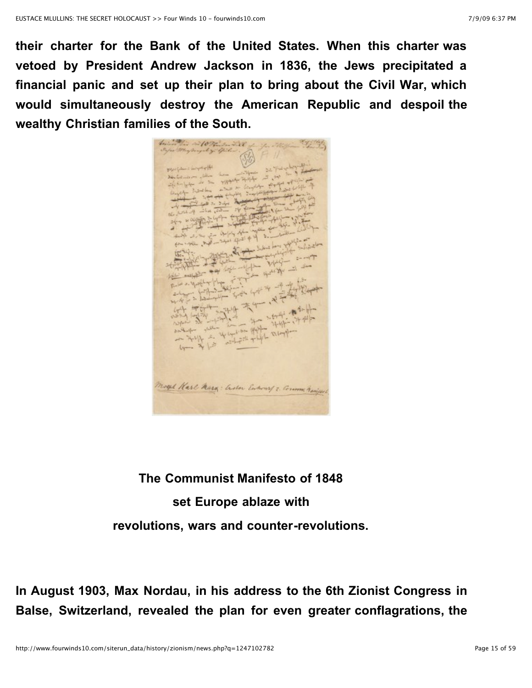**their charter for the Bank of the United States. When this charter was vetoed by President Andrew Jackson in 1836, the Jews precipitated a financial panic and set up their plan to bring about the Civil War, which would simultaneously destroy the American Republic and despoil the wealthy Christian families of the South.**

to in this and to the fact in the the Here's interest announced in 244 一直有 the office of  $-315$ Moyl Karl Marq : laster Enterery 2. Comme Marijas

# **The Communist Manifesto of 1848 set Europe ablaze with revolutions, wars and counter-revolutions.**

**In August 1903, Max Nordau, in his address to the 6th Zionist Congress in Balse, Switzerland, revealed the plan for even greater conflagrations, the**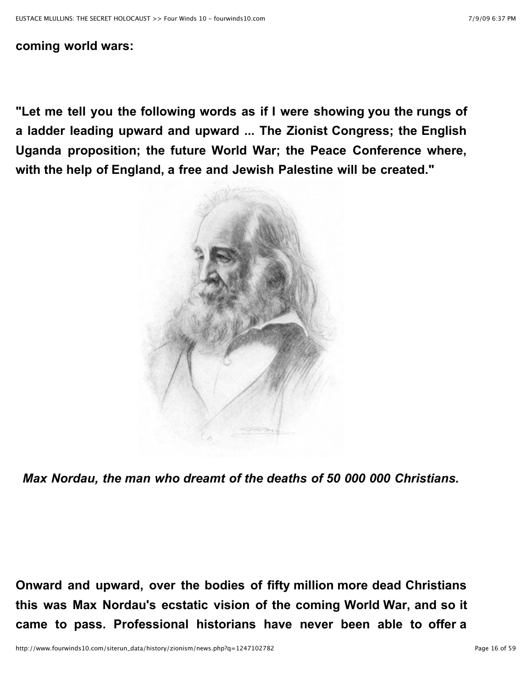#### **coming world wars:**

**"Let me tell you the following words as if I were showing you the rungs of a ladder leading upward and upward ... The Zionist Congress; the English Uganda proposition; the future World War; the Peace Conference where, with the help of England, a free and Jewish Palestine will be created."**



*Max Nordau, the man who dreamt of the deaths of 50 000 000 Christians.*

**Onward and upward, over the bodies of fifty million more dead Christians this was Max Nordau's ecstatic vision of the coming World War, and so it came to pass. Professional historians have never been able to offer a**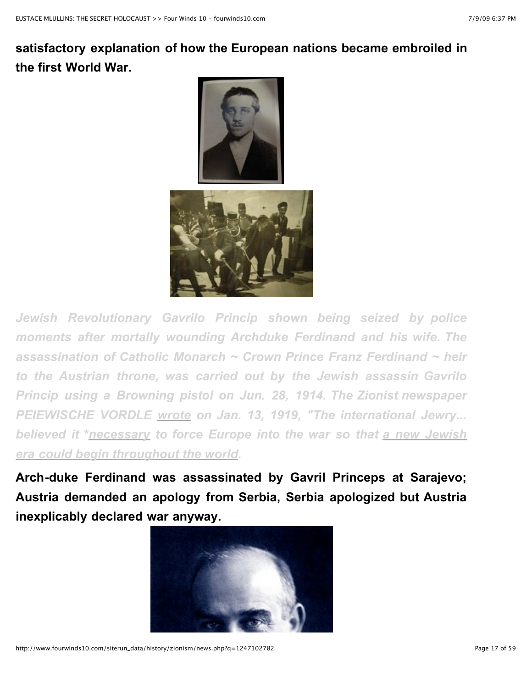# **satisfactory explanation of how the European nations became embroiled in the first World War.**





*Jewish Revolutionary Gavrilo Princip shown being seized by police moments after mortally wounding Archduke Ferdinand and his wife. The assassination of Catholic Monarch ~ Crown Prince Franz Ferdinand ~ heir to the Austrian throne, was carried out by the Jewish assassin Gavrilo Princip using a Browning pistol on Jun. 28, 1914. The Zionist newspaper PEIEWISCHE VORDLE wrote on Jan. 13, 1919, "The international Jewry... believed it \*necessary to force Europe into the war so that a new Jewish era could begin throughout the world.*

**Arch-duke Ferdinand was assassinated by Gavril Princeps at Sarajevo; Austria demanded an apology from Serbia, Serbia apologized but Austria inexplicably declared war anyway.**

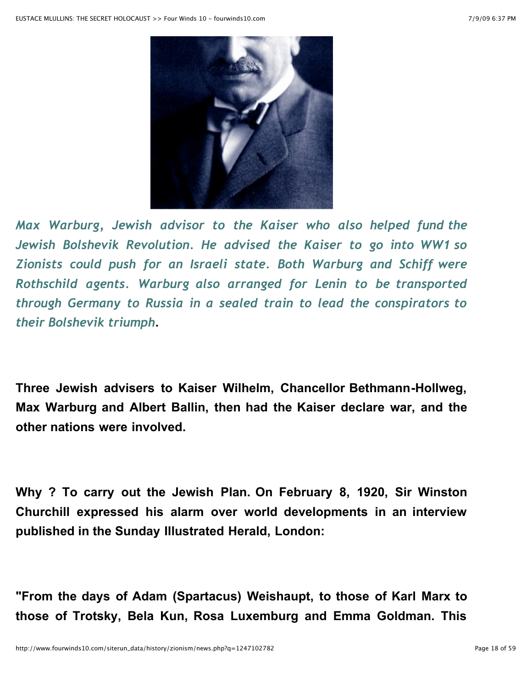

*Max Warburg, Jewish advisor to the Kaiser who also helped fund the Jewish Bolshevik Revolution. He advised the Kaiser to go into WW1 so Zionists could push for an Israeli state. Both Warburg and Schiff were Rothschild agents. Warburg also arranged for Lenin to be transported through Germany to Russia in a sealed train to lead the conspirators to their Bolshevik triumph***.**

**Three Jewish advisers to Kaiser Wilhelm, Chancellor Bethmann-Hollweg, Max Warburg and Albert Ballin, then had the Kaiser declare war, and the other nations were involved.**

**Why ? To carry out the Jewish Plan. On February 8, 1920, Sir Winston Churchill expressed his alarm over world developments in an interview published in the Sunday Illustrated Herald, London:**

**"From the days of Adam (Spartacus) Weishaupt, to those of Karl Marx to those of Trotsky, Bela Kun, Rosa Luxemburg and Emma Goldman. This**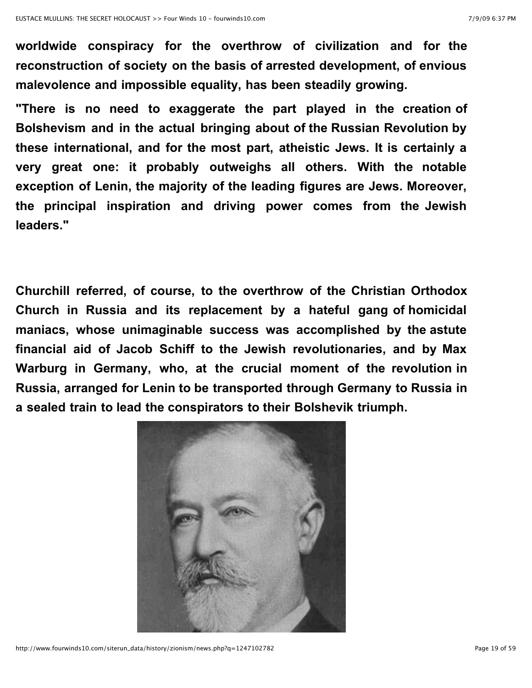**worldwide conspiracy for the overthrow of civilization and for the reconstruction of society on the basis of arrested development, of envious malevolence and impossible equality, has been steadily growing.**

**"There is no need to exaggerate the part played in the creation of Bolshevism and in the actual bringing about of the Russian Revolution by these international, and for the most part, atheistic Jews. It is certainly a very great one: it probably outweighs all others. With the notable exception of Lenin, the majority of the leading figures are Jews. Moreover, the principal inspiration and driving power comes from the Jewish leaders."**

**Churchill referred, of course, to the overthrow of the Christian Orthodox Church in Russia and its replacement by a hateful gang of homicidal maniacs, whose unimaginable success was accomplished by the astute financial aid of Jacob Schiff to the Jewish revolutionaries, and by Max Warburg in Germany, who, at the crucial moment of the revolution in Russia, arranged for Lenin to be transported through Germany to Russia in a sealed train to lead the conspirators to their Bolshevik triumph.**

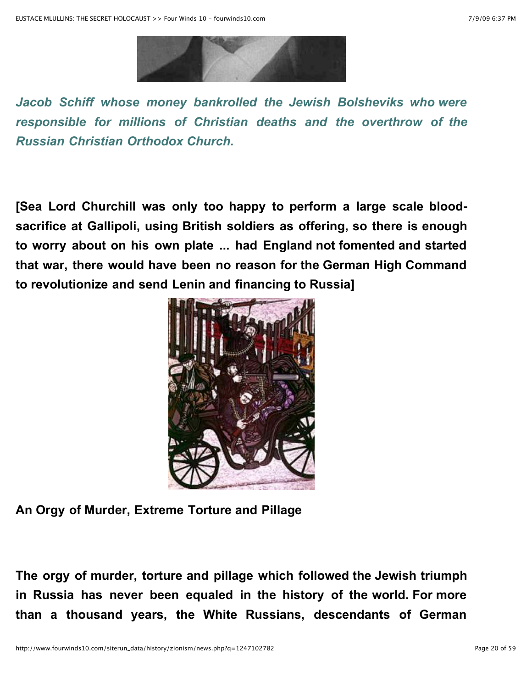

*Jacob Schiff whose money bankrolled the Jewish Bolsheviks who were responsible for millions of Christian deaths and the overthrow of the Russian Christian Orthodox Church.*

**[Sea Lord Churchill was only too happy to perform a large scale bloodsacrifice at Gallipoli, using British soldiers as offering, so there is enough to worry about on his own plate ... had England not fomented and started that war, there would have been no reason for the German High Command to revolutionize and send Lenin and financing to Russia]**



**An Orgy of Murder, Extreme Torture and Pillage**

**The orgy of murder, torture and pillage which followed the Jewish triumph in Russia has never been equaled in the history of the world. For more than a thousand years, the White Russians, descendants of German**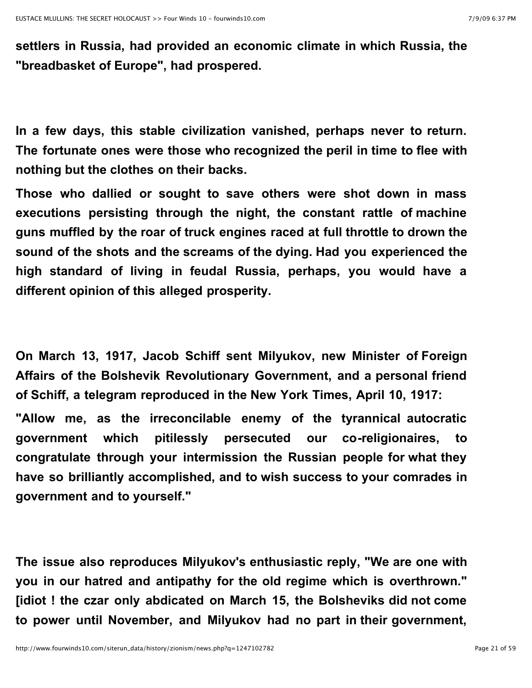**settlers in Russia, had provided an economic climate in which Russia, the "breadbasket of Europe", had prospered.**

**In a few days, this stable civilization vanished, perhaps never to return. The fortunate ones were those who recognized the peril in time to flee with nothing but the clothes on their backs.**

**Those who dallied or sought to save others were shot down in mass executions persisting through the night, the constant rattle of machine guns muffled by the roar of truck engines raced at full throttle to drown the sound of the shots and the screams of the dying. Had you experienced the high standard of living in feudal Russia, perhaps, you would have a different opinion of this alleged prosperity.**

**On March 13, 1917, Jacob Schiff sent Milyukov, new Minister of Foreign Affairs of the Bolshevik Revolutionary Government, and a personal friend of Schiff, a telegram reproduced in the New York Times, April 10, 1917:**

**"Allow me, as the irreconcilable enemy of the tyrannical autocratic government which pitilessly persecuted our co-religionaires, to congratulate through your intermission the Russian people for what they have so brilliantly accomplished, and to wish success to your comrades in government and to yourself."**

**The issue also reproduces Milyukov's enthusiastic reply, "We are one with you in our hatred and antipathy for the old regime which is overthrown." [idiot ! the czar only abdicated on March 15, the Bolsheviks did not come to power until November, and Milyukov had no part in their government,**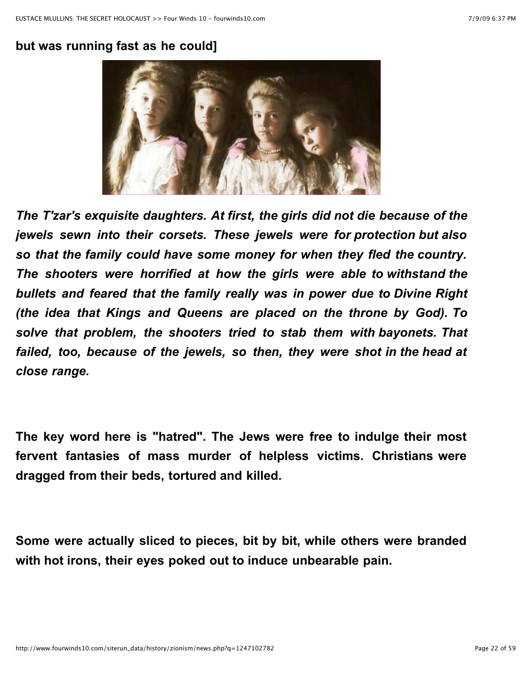### **but was running fast as he could]**



*The T'zar's exquisite daughters. At first, the girls did not die because of the jewels sewn into their corsets. These jewels were for protection but also so that the family could have some money for when they fled the country. The shooters were horrified at how the girls were able to withstand the bullets and feared that the family really was in power due to Divine Right (the idea that Kings and Queens are placed on the throne by God). To solve that problem, the shooters tried to stab them with bayonets. That failed, too, because of the jewels, so then, they were shot in the head at close range.*

**The key word here is "hatred". The Jews were free to indulge their most fervent fantasies of mass murder of helpless victims. Christians were dragged from their beds, tortured and killed.**

**Some were actually sliced to pieces, bit by bit, while others were branded with hot irons, their eyes poked out to induce unbearable pain.**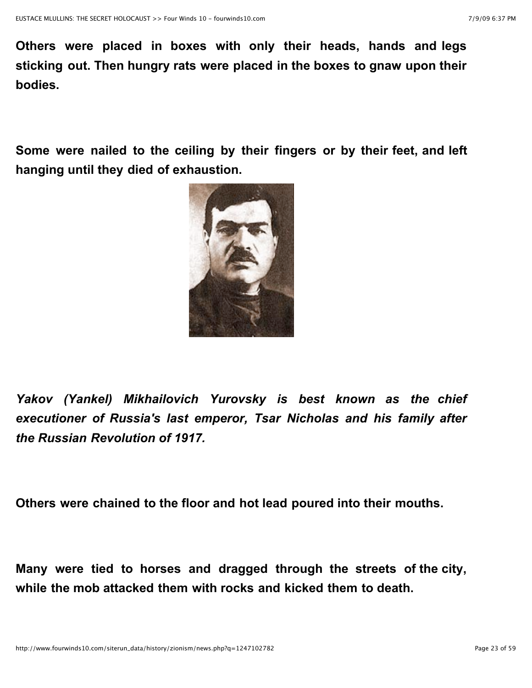**Others were placed in boxes with only their heads, hands and legs sticking out. Then hungry rats were placed in the boxes to gnaw upon their bodies.**

**Some were nailed to the ceiling by their fingers or by their feet, and left hanging until they died of exhaustion.**



*Yakov (Yankel) Mikhailovich Yurovsky is best known as the chief executioner of Russia's last emperor, Tsar Nicholas and his family after the Russian Revolution of 1917.*

**Others were chained to the floor and hot lead poured into their mouths.**

**Many were tied to horses and dragged through the streets of the city, while the mob attacked them with rocks and kicked them to death.**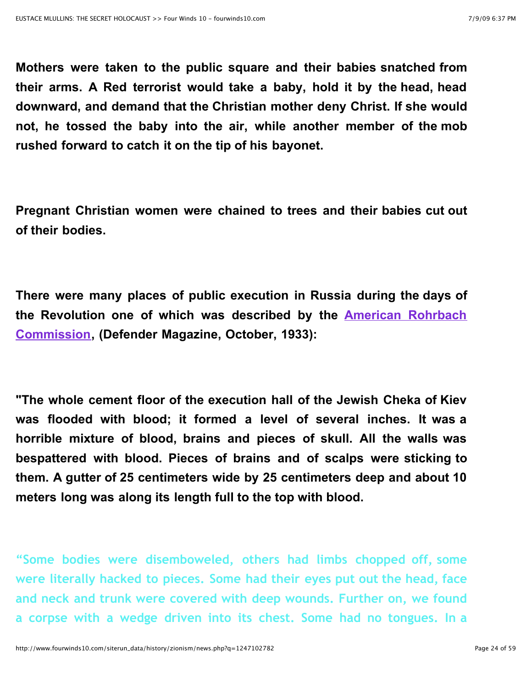**Mothers were taken to the public square and their babies snatched from their arms. A Red terrorist would take a baby, hold it by the head, head downward, and demand that the Christian mother deny Christ. If she would not, he tossed the baby into the air, while another member of the mob rushed forward to catch it on the tip of his bayonet.**

**Pregnant Christian women were chained to trees and their babies cut out of their bodies.**

**There were many places of public execution in Russia during the days of the Revolution one of which was described by the American Rohrbach [Commission, \(Defender Magazine, October, 1933\):](http://wake-up-america.net/quotes%20Jews,%20Red%20Terror,%20Checka.htm)**

**"The whole cement floor of the execution hall of the Jewish Cheka of Kiev was flooded with blood; it formed a level of several inches. It was a horrible mixture of blood, brains and pieces of skull. All the walls was bespattered with blood. Pieces of brains and of scalps were sticking to them. A gutter of 25 centimeters wide by 25 centimeters deep and about 10 meters long was along its length full to the top with blood.**

**"Some bodies were disemboweled, others had limbs chopped off, some were literally hacked to pieces. Some had their eyes put out the head, face and neck and trunk were covered with deep wounds. Further on, we found a corpse with a wedge driven into its chest. Some had no tongues. In a**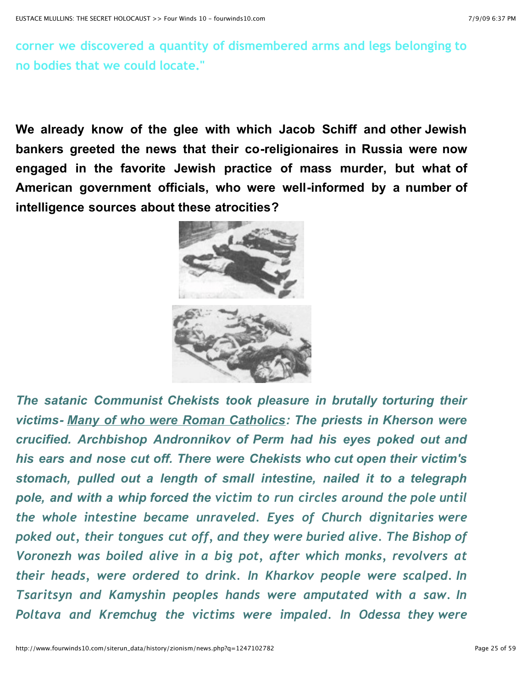**corner we discovered a quantity of dismembered arms and legs belonging to no bodies that we could locate."**

**We already know of the glee with which Jacob Schiff and other Jewish bankers greeted the news that their co-religionaires in Russia were now engaged in the favorite Jewish practice of mass murder, but what of American government officials, who were well-informed by a number of intelligence sources about these atrocities?**



*The satanic Communist Chekists took pleasure in brutally torturing their victims- Many of who were Roman Catholics: The priests in Kherson were crucified. Archbishop Andronnikov of Perm had his eyes poked out and his ears and nose cut off. There were Chekists who cut open their victim's stomach, pulled out a length of small intestine, nailed it to a telegraph pole, and with a whip forced the victim to run circles around the pole until the whole intestine became unraveled. Eyes of Church dignitaries were poked out, their tongues cut off, and they were buried alive. The Bishop of Voronezh was boiled alive in a big pot, after which monks, revolvers at their heads, were ordered to drink. In Kharkov people were scalped. In Tsaritsyn and Kamyshin peoples hands were amputated with a saw. In Poltava and Kremchug the victims were impaled. In Odessa they were*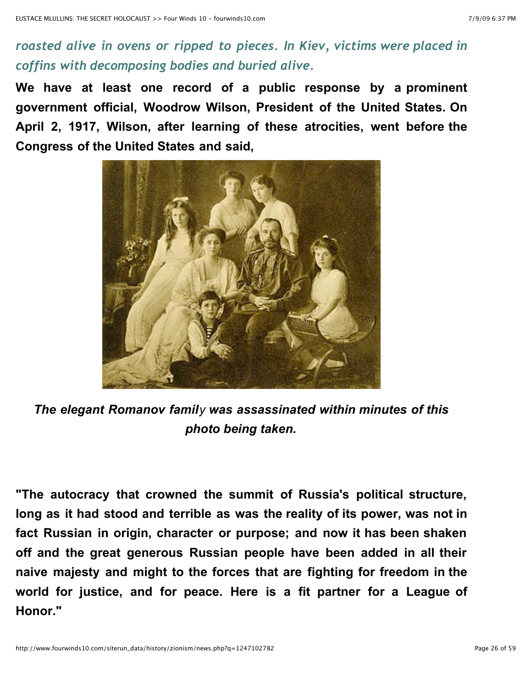# *roasted alive in ovens or ripped to pieces. In Kiev, victims were placed in coffins with decomposing bodies and buried alive.*

**We have at least one record of a public response by a prominent government official, Woodrow Wilson, President of the United States. On April 2, 1917, Wilson, after learning of these atrocities, went before the Congress of the United States and said,**

![](_page_25_Picture_4.jpeg)

*The elegant Romanov family was assassinated within minutes of this photo being taken.*

**"The autocracy that crowned the summit of Russia's political structure, long as it had stood and terrible as was the reality of its power, was not in fact Russian in origin, character or purpose; and now it has been shaken off and the great generous Russian people have been added in all their naive majesty and might to the forces that are fighting for freedom in the world for justice, and for peace. Here is a fit partner for a League of Honor."**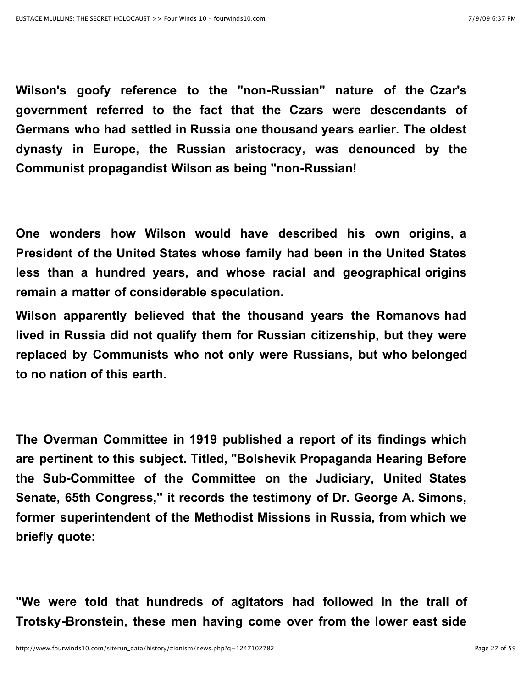**Wilson's goofy reference to the "non-Russian" nature of the Czar's government referred to the fact that the Czars were descendants of Germans who had settled in Russia one thousand years earlier. The oldest dynasty in Europe, the Russian aristocracy, was denounced by the Communist propagandist Wilson as being "non-Russian!**

**One wonders how Wilson would have described his own origins, a President of the United States whose family had been in the United States less than a hundred years, and whose racial and geographical origins remain a matter of considerable speculation.**

**Wilson apparently believed that the thousand years the Romanovs had lived in Russia did not qualify them for Russian citizenship, but they were replaced by Communists who not only were Russians, but who belonged to no nation of this earth.**

**The Overman Committee in 1919 published a report of its findings which are pertinent to this subject. Titled, "Bolshevik Propaganda Hearing Before the Sub-Committee of the Committee on the Judiciary, United States Senate, 65th Congress," it records the testimony of Dr. George A. Simons, former superintendent of the Methodist Missions in Russia, from which we briefly quote:**

**"We were told that hundreds of agitators had followed in the trail of Trotsky-Bronstein, these men having come over from the lower east side**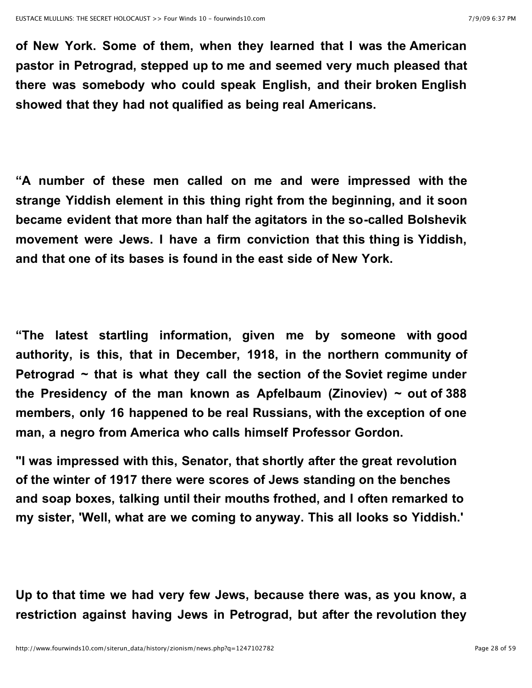**of New York. Some of them, when they learned that I was the American pastor in Petrograd, stepped up to me and seemed very much pleased that there was somebody who could speak English, and their broken English showed that they had not qualified as being real Americans.**

**"A number of these men called on me and were impressed with the strange Yiddish element in this thing right from the beginning, and it soon became evident that more than half the agitators in the so-called Bolshevik movement were Jews. I have a firm conviction that this thing is Yiddish, and that one of its bases is found in the east side of New York.**

**"The latest startling information, given me by someone with good authority, is this, that in December, 1918, in the northern community of Petrograd ~ that is what they call the section of the Soviet regime under the Presidency of the man known as Apfelbaum (Zinoviev) ~ out of 388 members, only 16 happened to be real Russians, with the exception of one man, a negro from America who calls himself Professor Gordon.**

**"I was impressed with this, Senator, that shortly after the great revolution of the winter of 1917 there were scores of Jews standing on the benches and soap boxes, talking until their mouths frothed, and I often remarked to my sister, 'Well, what are we coming to anyway. This all looks so Yiddish.'**

**Up to that time we had very few Jews, because there was, as you know, a restriction against having Jews in Petrograd, but after the revolution they**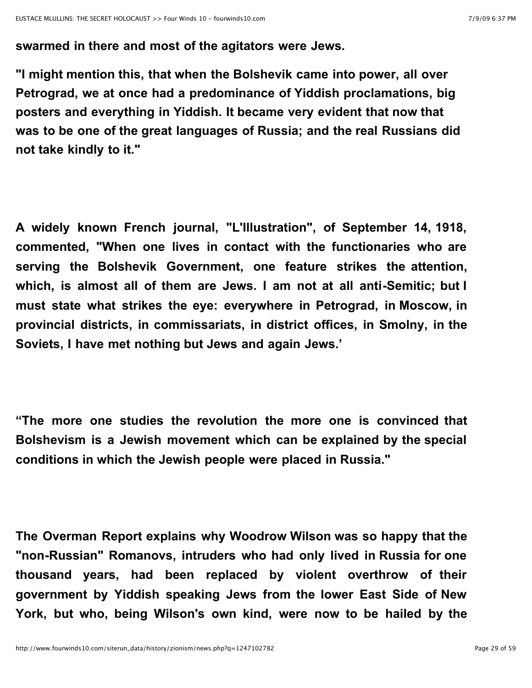**swarmed in there and most of the agitators were Jews.**

**"I might mention this, that when the Bolshevik came into power, all over Petrograd, we at once had a predominance of Yiddish proclamations, big posters and everything in Yiddish. It became very evident that now that was to be one of the great languages of Russia; and the real Russians did not take kindly to it."**

**A widely known French journal, "L'Illustration", of September 14, 1918, commented, "When one lives in contact with the functionaries who are serving the Bolshevik Government, one feature strikes the attention, which, is almost all of them are Jews. I am not at all anti-Semitic; but I must state what strikes the eye: everywhere in Petrograd, in Moscow, in provincial districts, in commissariats, in district offices, in Smolny, in the Soviets, I have met nothing but Jews and again Jews.'**

**"The more one studies the revolution the more one is convinced that Bolshevism is a Jewish movement which can be explained by the special conditions in which the Jewish people were placed in Russia."**

**The Overman Report explains why Woodrow Wilson was so happy that the "non-Russian" Romanovs, intruders who had only lived in Russia for one thousand years, had been replaced by violent overthrow of their government by Yiddish speaking Jews from the lower East Side of New York, but who, being Wilson's own kind, were now to be hailed by the**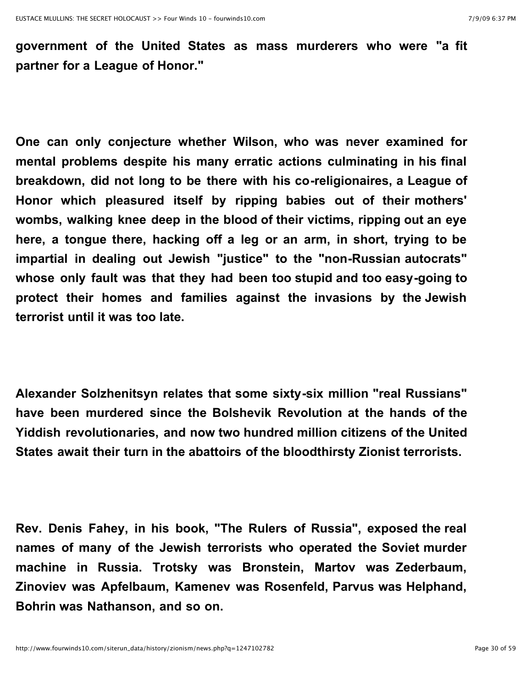**government of the United States as mass murderers who were "a fit partner for a League of Honor."**

**One can only conjecture whether Wilson, who was never examined for mental problems despite his many erratic actions culminating in his final breakdown, did not long to be there with his co-religionaires, a League of Honor which pleasured itself by ripping babies out of their mothers' wombs, walking knee deep in the blood of their victims, ripping out an eye here, a tongue there, hacking off a leg or an arm, in short, trying to be impartial in dealing out Jewish "justice" to the "non-Russian autocrats" whose only fault was that they had been too stupid and too easy-going to protect their homes and families against the invasions by the Jewish terrorist until it was too late.**

**Alexander Solzhenitsyn relates that some sixty-six million "real Russians" have been murdered since the Bolshevik Revolution at the hands of the Yiddish revolutionaries, and now two hundred million citizens of the United States await their turn in the abattoirs of the bloodthirsty Zionist terrorists.**

**Rev. Denis Fahey, in his book, "The Rulers of Russia", exposed the real names of many of the Jewish terrorists who operated the Soviet murder machine in Russia. Trotsky was Bronstein, Martov was Zederbaum, Zinoviev was Apfelbaum, Kamenev was Rosenfeld, Parvus was Helphand, Bohrin was Nathanson, and so on.**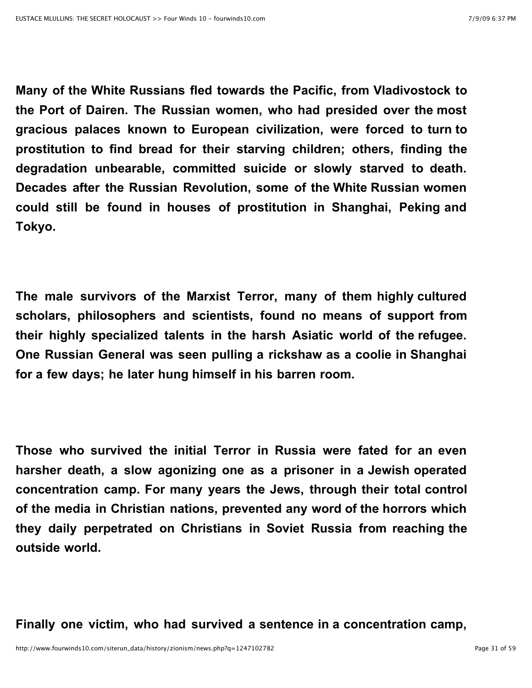**Many of the White Russians fled towards the Pacific, from Vladivostock to the Port of Dairen. The Russian women, who had presided over the most gracious palaces known to European civilization, were forced to turn to prostitution to find bread for their starving children; others, finding the degradation unbearable, committed suicide or slowly starved to death. Decades after the Russian Revolution, some of the White Russian women could still be found in houses of prostitution in Shanghai, Peking and Tokyo.**

**The male survivors of the Marxist Terror, many of them highly cultured scholars, philosophers and scientists, found no means of support from their highly specialized talents in the harsh Asiatic world of the refugee. One Russian General was seen pulling a rickshaw as a coolie in Shanghai for a few days; he later hung himself in his barren room.**

**Those who survived the initial Terror in Russia were fated for an even harsher death, a slow agonizing one as a prisoner in a Jewish operated concentration camp. For many years the Jews, through their total control of the media in Christian nations, prevented any word of the horrors which they daily perpetrated on Christians in Soviet Russia from reaching the outside world.**

**Finally one victim, who had survived a sentence in a concentration camp,**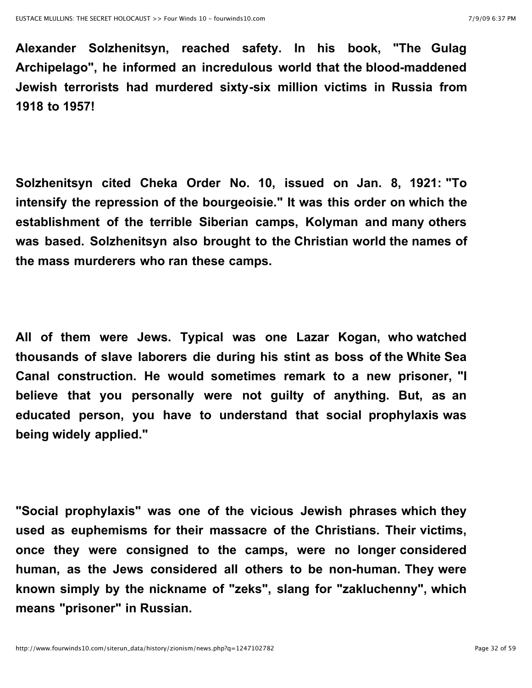**Alexander Solzhenitsyn, reached safety. In his book, "The Gulag Archipelago", he informed an incredulous world that the blood-maddened Jewish terrorists had murdered sixty-six million victims in Russia from 1918 to 1957!**

**Solzhenitsyn cited Cheka Order No. 10, issued on Jan. 8, 1921: "To intensify the repression of the bourgeoisie." It was this order on which the establishment of the terrible Siberian camps, Kolyman and many others was based. Solzhenitsyn also brought to the Christian world the names of the mass murderers who ran these camps.**

**All of them were Jews. Typical was one Lazar Kogan, who watched thousands of slave laborers die during his stint as boss of the White Sea Canal construction. He would sometimes remark to a new prisoner, "I believe that you personally were not guilty of anything. But, as an educated person, you have to understand that social prophylaxis was being widely applied."**

**"Social prophylaxis" was one of the vicious Jewish phrases which they used as euphemisms for their massacre of the Christians. Their victims, once they were consigned to the camps, were no longer considered human, as the Jews considered all others to be non-human. They were known simply by the nickname of "zeks", slang for "zakluchenny", which means "prisoner" in Russian.**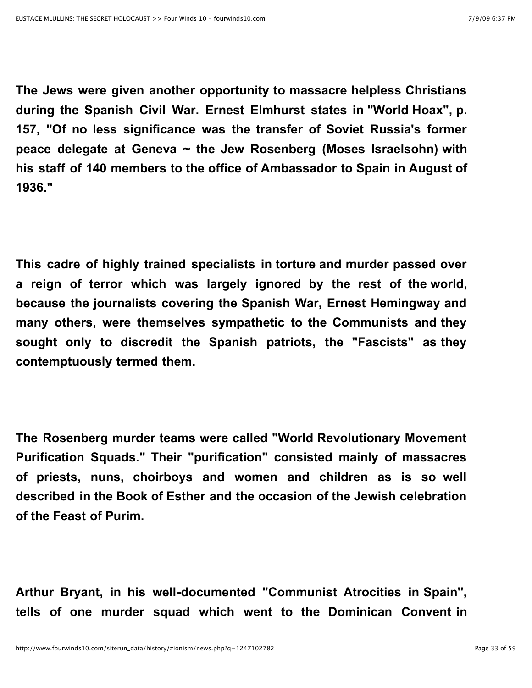**The Jews were given another opportunity to massacre helpless Christians during the Spanish Civil War. Ernest Elmhurst states in "World Hoax", p. 157, "Of no less significance was the transfer of Soviet Russia's former peace delegate at Geneva ~ the Jew Rosenberg (Moses Israelsohn) with his staff of 140 members to the office of Ambassador to Spain in August of 1936."**

**This cadre of highly trained specialists in torture and murder passed over a reign of terror which was largely ignored by the rest of the world, because the journalists covering the Spanish War, Ernest Hemingway and many others, were themselves sympathetic to the Communists and they sought only to discredit the Spanish patriots, the "Fascists" as they contemptuously termed them.**

**The Rosenberg murder teams were called "World Revolutionary Movement Purification Squads." Their "purification" consisted mainly of massacres of priests, nuns, choirboys and women and children as is so well described in the Book of Esther and the occasion of the Jewish celebration of the Feast of Purim.**

**Arthur Bryant, in his well-documented "Communist Atrocities in Spain", tells of one murder squad which went to the Dominican Convent in**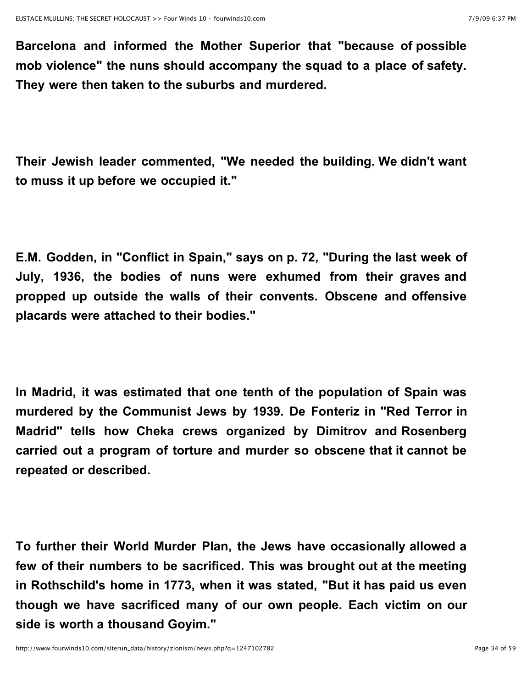**Barcelona and informed the Mother Superior that "because of possible mob violence" the nuns should accompany the squad to a place of safety. They were then taken to the suburbs and murdered.**

**Their Jewish leader commented, "We needed the building. We didn't want to muss it up before we occupied it."**

**E.M. Godden, in "Conflict in Spain," says on p. 72, "During the last week of July, 1936, the bodies of nuns were exhumed from their graves and propped up outside the walls of their convents. Obscene and offensive placards were attached to their bodies."**

**In Madrid, it was estimated that one tenth of the population of Spain was murdered by the Communist Jews by 1939. De Fonteriz in "Red Terror in Madrid" tells how Cheka crews organized by Dimitrov and Rosenberg carried out a program of torture and murder so obscene that it cannot be repeated or described.**

**To further their World Murder Plan, the Jews have occasionally allowed a few of their numbers to be sacrificed. This was brought out at the meeting in Rothschild's home in 1773, when it was stated, "But it has paid us even though we have sacrificed many of our own people. Each victim on our side is worth a thousand Goyim."**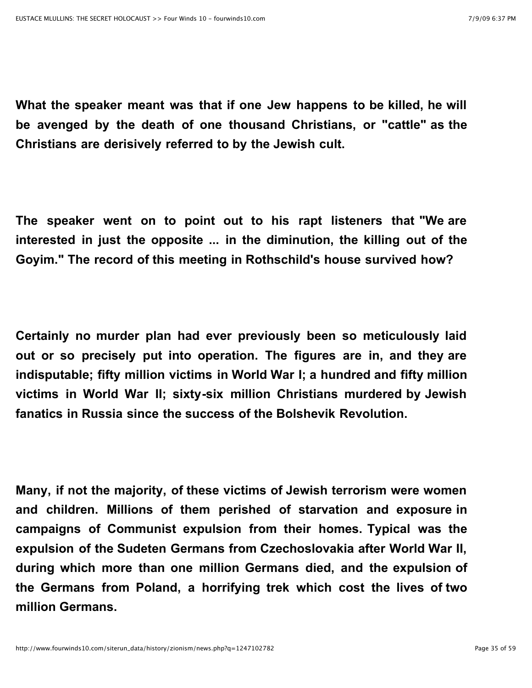**What the speaker meant was that if one Jew happens to be killed, he will be avenged by the death of one thousand Christians, or "cattle" as the Christians are derisively referred to by the Jewish cult.**

**The speaker went on to point out to his rapt listeners that "We are interested in just the opposite ... in the diminution, the killing out of the Goyim." The record of this meeting in Rothschild's house survived how?**

**Certainly no murder plan had ever previously been so meticulously laid out or so precisely put into operation. The figures are in, and they are indisputable; fifty million victims in World War I; a hundred and fifty million victims in World War II; sixty-six million Christians murdered by Jewish fanatics in Russia since the success of the Bolshevik Revolution.**

**Many, if not the majority, of these victims of Jewish terrorism were women and children. Millions of them perished of starvation and exposure in campaigns of Communist expulsion from their homes. Typical was the expulsion of the Sudeten Germans from Czechoslovakia after World War II, during which more than one million Germans died, and the expulsion of the Germans from Poland, a horrifying trek which cost the lives of two million Germans.**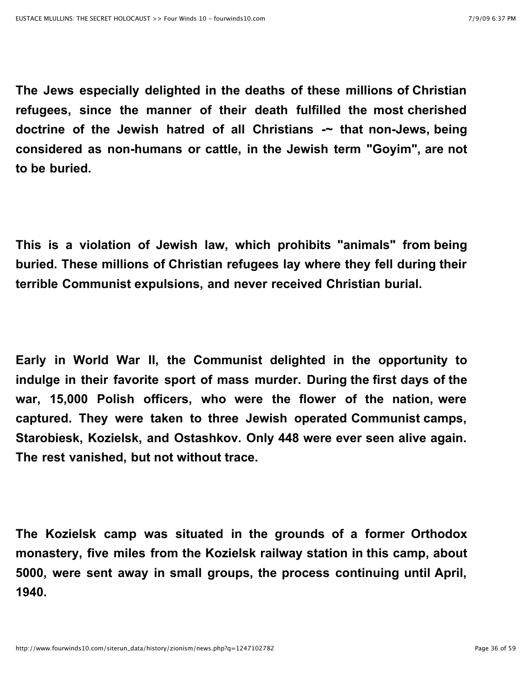**The Jews especially delighted in the deaths of these millions of Christian refugees, since the manner of their death fulfilled the most cherished doctrine of the Jewish hatred of all Christians -~ that non-Jews, being considered as non-humans or cattle, in the Jewish term "Goyim", are not to be buried.**

**This is a violation of Jewish law, which prohibits "animals" from being buried. These millions of Christian refugees lay where they fell during their terrible Communist expulsions, and never received Christian burial.**

**Early in World War II, the Communist delighted in the opportunity to indulge in their favorite sport of mass murder. During the first days of the war, 15,000 Polish officers, who were the flower of the nation, were captured. They were taken to three Jewish operated Communist camps, Starobiesk, Kozielsk, and Ostashkov. Only 448 were ever seen alive again. The rest vanished, but not without trace.**

**The Kozielsk camp was situated in the grounds of a former Orthodox monastery, five miles from the Kozielsk railway station in this camp, about 5000, were sent away in small groups, the process continuing until April, 1940.**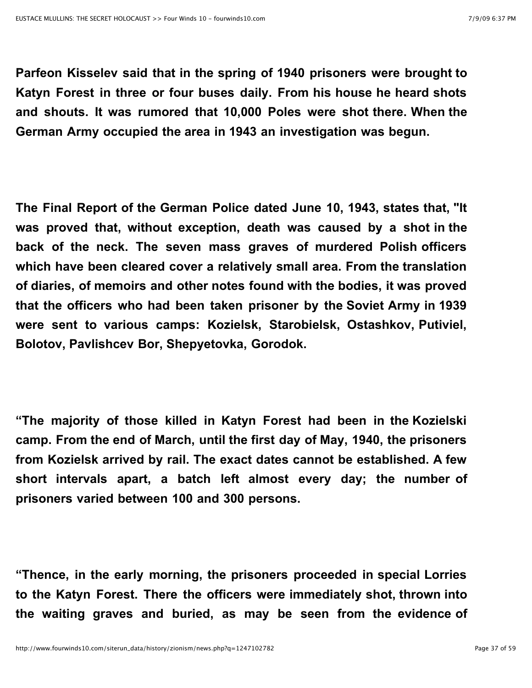**Parfeon Kisselev said that in the spring of 1940 prisoners were brought to Katyn Forest in three or four buses daily. From his house he heard shots and shouts. It was rumored that 10,000 Poles were shot there. When the German Army occupied the area in 1943 an investigation was begun.**

**The Final Report of the German Police dated June 10, 1943, states that, "It was proved that, without exception, death was caused by a shot in the back of the neck. The seven mass graves of murdered Polish officers which have been cleared cover a relatively small area. From the translation of diaries, of memoirs and other notes found with the bodies, it was proved that the officers who had been taken prisoner by the Soviet Army in 1939 were sent to various camps: Kozielsk, Starobielsk, Ostashkov, Putiviel, Bolotov, Pavlishcev Bor, Shepyetovka, Gorodok.**

**"The majority of those killed in Katyn Forest had been in the Kozielski camp. From the end of March, until the first day of May, 1940, the prisoners from Kozielsk arrived by rail. The exact dates cannot be established. A few short intervals apart, a batch left almost every day; the number of prisoners varied between 100 and 300 persons.**

**"Thence, in the early morning, the prisoners proceeded in special Lorries to the Katyn Forest. There the officers were immediately shot, thrown into the waiting graves and buried, as may be seen from the evidence of**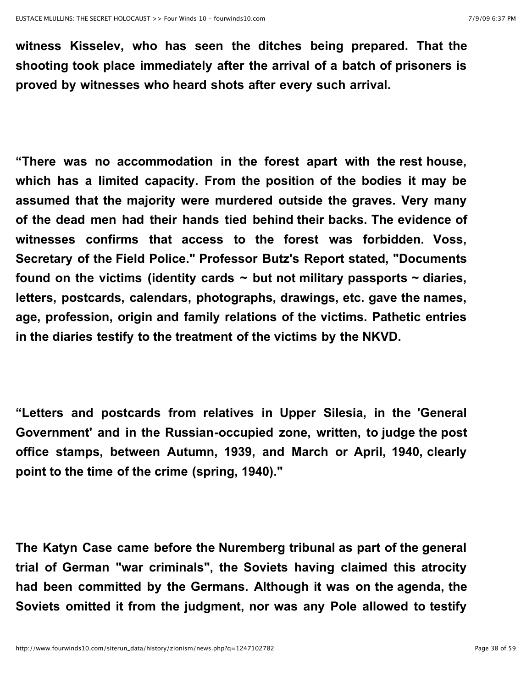**witness Kisselev, who has seen the ditches being prepared. That the shooting took place immediately after the arrival of a batch of prisoners is proved by witnesses who heard shots after every such arrival.**

**"There was no accommodation in the forest apart with the rest house, which has a limited capacity. From the position of the bodies it may be assumed that the majority were murdered outside the graves. Very many of the dead men had their hands tied behind their backs. The evidence of witnesses confirms that access to the forest was forbidden. Voss, Secretary of the Field Police." Professor Butz's Report stated, "Documents found on the victims (identity cards ~ but not military passports ~ diaries, letters, postcards, calendars, photographs, drawings, etc. gave the names, age, profession, origin and family relations of the victims. Pathetic entries in the diaries testify to the treatment of the victims by the NKVD.**

**"Letters and postcards from relatives in Upper Silesia, in the 'General Government' and in the Russian-occupied zone, written, to judge the post office stamps, between Autumn, 1939, and March or April, 1940, clearly point to the time of the crime (spring, 1940)."**

**The Katyn Case came before the Nuremberg tribunal as part of the general trial of German "war criminals", the Soviets having claimed this atrocity had been committed by the Germans. Although it was on the agenda, the Soviets omitted it from the judgment, nor was any Pole allowed to testify**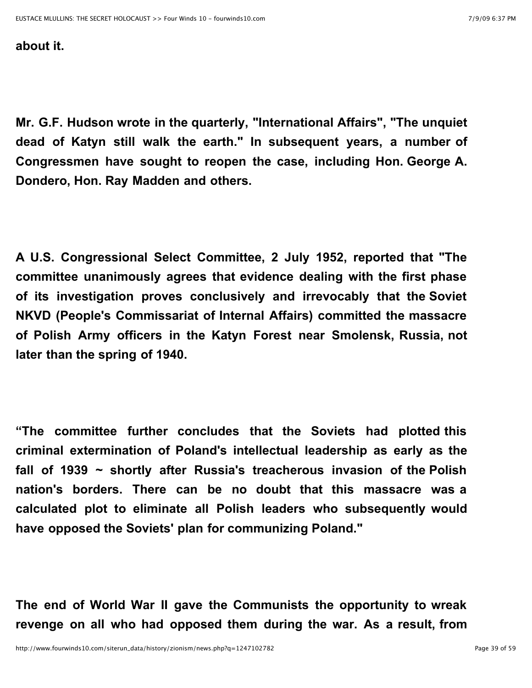#### **about it.**

**Mr. G.F. Hudson wrote in the quarterly, "International Affairs", "The unquiet dead of Katyn still walk the earth." In subsequent years, a number of Congressmen have sought to reopen the case, including Hon. George A. Dondero, Hon. Ray Madden and others.**

**A U.S. Congressional Select Committee, 2 July 1952, reported that "The committee unanimously agrees that evidence dealing with the first phase of its investigation proves conclusively and irrevocably that the Soviet NKVD (People's Commissariat of Internal Affairs) committed the massacre of Polish Army officers in the Katyn Forest near Smolensk, Russia, not later than the spring of 1940.**

**"The committee further concludes that the Soviets had plotted this criminal extermination of Poland's intellectual leadership as early as the fall of 1939 ~ shortly after Russia's treacherous invasion of the Polish nation's borders. There can be no doubt that this massacre was a calculated plot to eliminate all Polish leaders who subsequently would have opposed the Soviets' plan for communizing Poland."**

**The end of World War II gave the Communists the opportunity to wreak revenge on all who had opposed them during the war. As a result, from**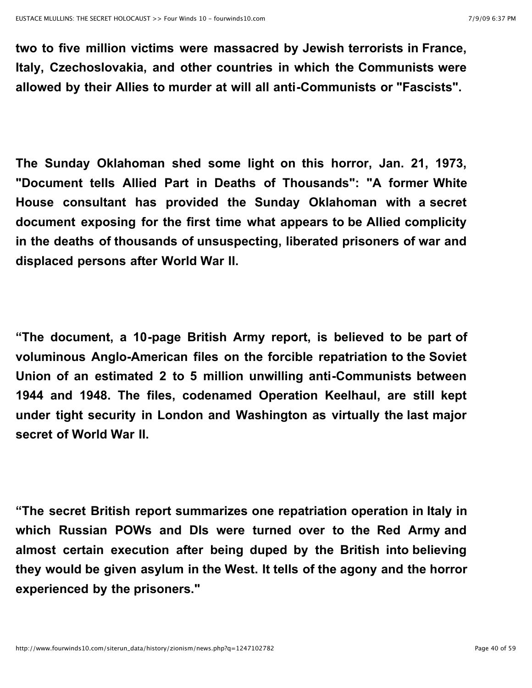**two to five million victims were massacred by Jewish terrorists in France, Italy, Czechoslovakia, and other countries in which the Communists were allowed by their Allies to murder at will all anti-Communists or "Fascists".**

**The Sunday Oklahoman shed some light on this horror, Jan. 21, 1973, "Document tells Allied Part in Deaths of Thousands": "A former White House consultant has provided the Sunday Oklahoman with a secret document exposing for the first time what appears to be Allied complicity in the deaths of thousands of unsuspecting, liberated prisoners of war and displaced persons after World War II.**

**"The document, a 10-page British Army report, is believed to be part of voluminous Anglo-American files on the forcible repatriation to the Soviet Union of an estimated 2 to 5 million unwilling anti-Communists between 1944 and 1948. The files, codenamed Operation Keelhaul, are still kept under tight security in London and Washington as virtually the last major secret of World War II.**

**"The secret British report summarizes one repatriation operation in Italy in which Russian POWs and DIs were turned over to the Red Army and almost certain execution after being duped by the British into believing they would be given asylum in the West. It tells of the agony and the horror experienced by the prisoners."**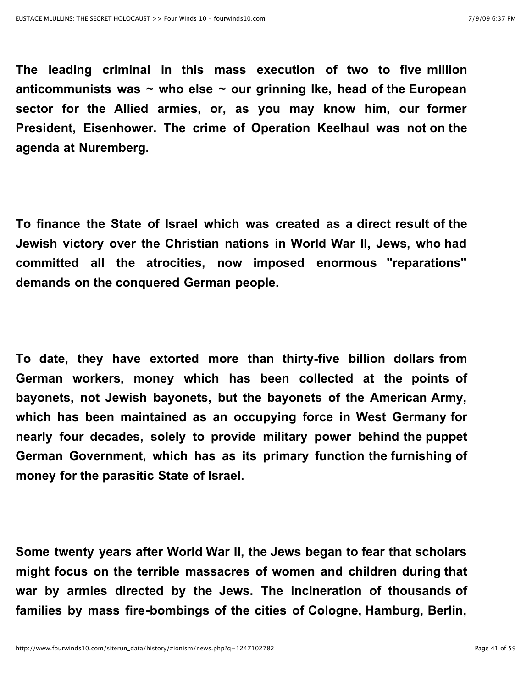**The leading criminal in this mass execution of two to five million anticommunists was ~ who else ~ our grinning Ike, head of the European sector for the Allied armies, or, as you may know him, our former President, Eisenhower. The crime of Operation Keelhaul was not on the agenda at Nuremberg.**

**To finance the State of Israel which was created as a direct result of the Jewish victory over the Christian nations in World War II, Jews, who had committed all the atrocities, now imposed enormous "reparations" demands on the conquered German people.**

**To date, they have extorted more than thirty-five billion dollars from German workers, money which has been collected at the points of bayonets, not Jewish bayonets, but the bayonets of the American Army, which has been maintained as an occupying force in West Germany for nearly four decades, solely to provide military power behind the puppet German Government, which has as its primary function the furnishing of money for the parasitic State of Israel.**

**Some twenty years after World War II, the Jews began to fear that scholars might focus on the terrible massacres of women and children during that war by armies directed by the Jews. The incineration of thousands of families by mass fire-bombings of the cities of Cologne, Hamburg, Berlin,**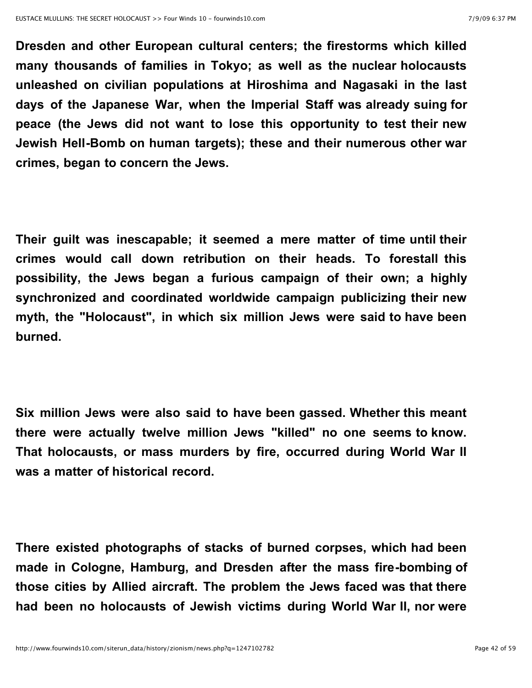**Dresden and other European cultural centers; the firestorms which killed many thousands of families in Tokyo; as well as the nuclear holocausts unleashed on civilian populations at Hiroshima and Nagasaki in the last days of the Japanese War, when the Imperial Staff was already suing for peace (the Jews did not want to lose this opportunity to test their new Jewish Hell-Bomb on human targets); these and their numerous other war crimes, began to concern the Jews.**

**Their guilt was inescapable; it seemed a mere matter of time until their crimes would call down retribution on their heads. To forestall this possibility, the Jews began a furious campaign of their own; a highly synchronized and coordinated worldwide campaign publicizing their new myth, the "Holocaust", in which six million Jews were said to have been burned.**

**Six million Jews were also said to have been gassed. Whether this meant there were actually twelve million Jews "killed" no one seems to know. That holocausts, or mass murders by fire, occurred during World War II was a matter of historical record.**

**There existed photographs of stacks of burned corpses, which had been made in Cologne, Hamburg, and Dresden after the mass fire-bombing of those cities by Allied aircraft. The problem the Jews faced was that there had been no holocausts of Jewish victims during World War II, nor were**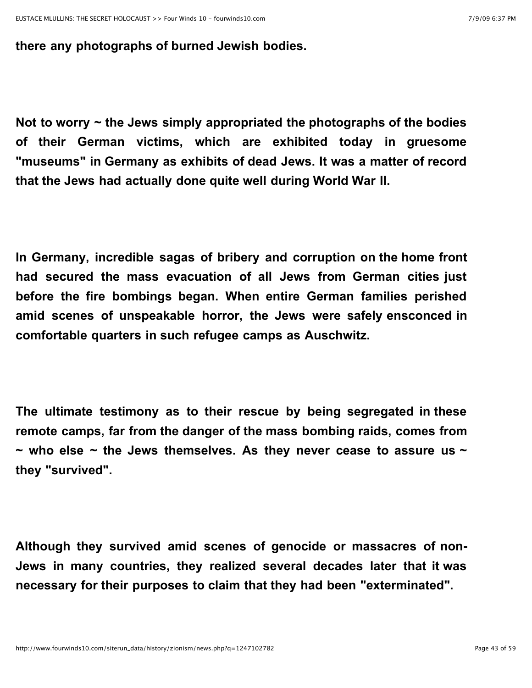**there any photographs of burned Jewish bodies.**

**Not to worry ~ the Jews simply appropriated the photographs of the bodies of their German victims, which are exhibited today in gruesome "museums" in Germany as exhibits of dead Jews. It was a matter of record that the Jews had actually done quite well during World War II.**

**In Germany, incredible sagas of bribery and corruption on the home front had secured the mass evacuation of all Jews from German cities just before the fire bombings began. When entire German families perished amid scenes of unspeakable horror, the Jews were safely ensconced in comfortable quarters in such refugee camps as Auschwitz.**

**The ultimate testimony as to their rescue by being segregated in these remote camps, far from the danger of the mass bombing raids, comes from ~ who else ~ the Jews themselves. As they never cease to assure us ~ they "survived".**

**Although they survived amid scenes of genocide or massacres of non-Jews in many countries, they realized several decades later that it was necessary for their purposes to claim that they had been "exterminated".**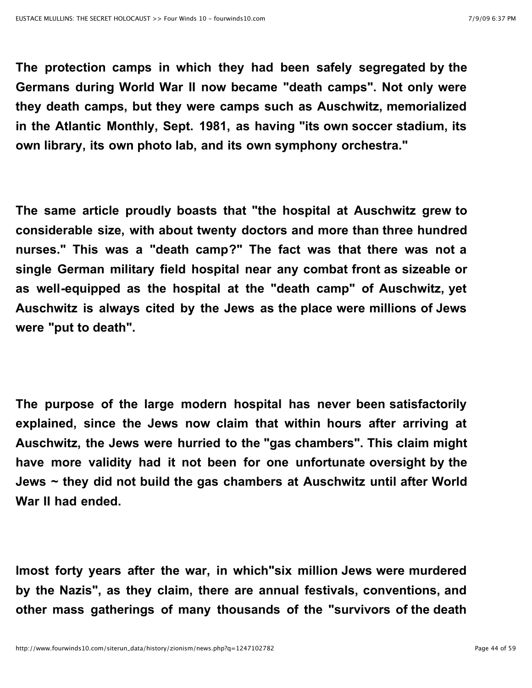**The protection camps in which they had been safely segregated by the Germans during World War II now became "death camps". Not only were they death camps, but they were camps such as Auschwitz, memorialized in the Atlantic Monthly, Sept. 1981, as having "its own soccer stadium, its own library, its own photo lab, and its own symphony orchestra."**

**The same article proudly boasts that "the hospital at Auschwitz grew to considerable size, with about twenty doctors and more than three hundred nurses." This was a "death camp?" The fact was that there was not a single German military field hospital near any combat front as sizeable or as well-equipped as the hospital at the "death camp" of Auschwitz, yet Auschwitz is always cited by the Jews as the place were millions of Jews were "put to death".**

**The purpose of the large modern hospital has never been satisfactorily explained, since the Jews now claim that within hours after arriving at Auschwitz, the Jews were hurried to the "gas chambers". This claim might have more validity had it not been for one unfortunate oversight by the Jews ~ they did not build the gas chambers at Auschwitz until after World War II had ended.**

**lmost forty years after the war, in which"six million Jews were murdered by the Nazis", as they claim, there are annual festivals, conventions, and other mass gatherings of many thousands of the "survivors of the death**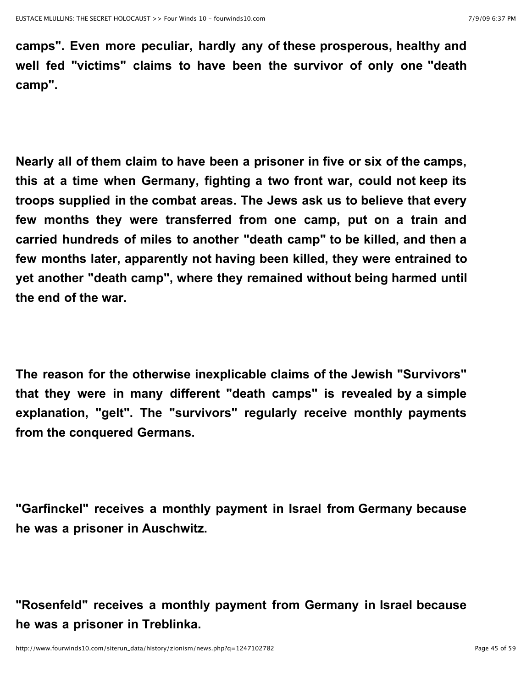**camps". Even more peculiar, hardly any of these prosperous, healthy and well fed "victims" claims to have been the survivor of only one "death camp".**

**Nearly all of them claim to have been a prisoner in five or six of the camps, this at a time when Germany, fighting a two front war, could not keep its troops supplied in the combat areas. The Jews ask us to believe that every few months they were transferred from one camp, put on a train and carried hundreds of miles to another "death camp" to be killed, and then a few months later, apparently not having been killed, they were entrained to yet another "death camp", where they remained without being harmed until the end of the war.**

**The reason for the otherwise inexplicable claims of the Jewish "Survivors" that they were in many different "death camps" is revealed by a simple explanation, "gelt". The "survivors" regularly receive monthly payments from the conquered Germans.**

**"Garfinckel" receives a monthly payment in Israel from Germany because he was a prisoner in Auschwitz.**

**"Rosenfeld" receives a monthly payment from Germany in Israel because he was a prisoner in Treblinka.**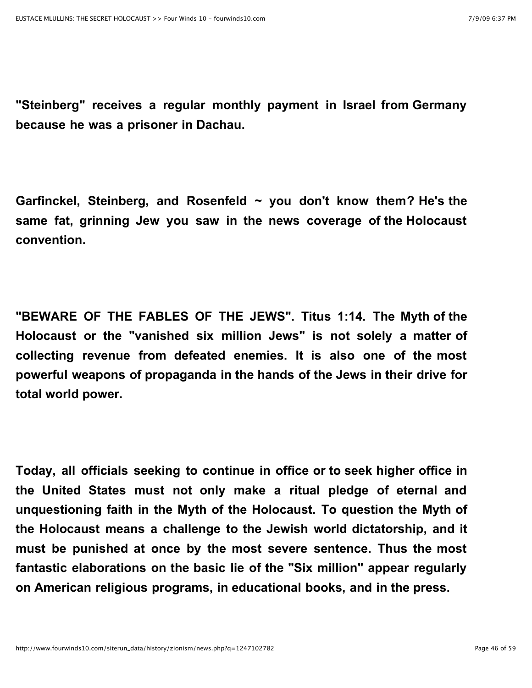**"Steinberg" receives a regular monthly payment in Israel from Germany because he was a prisoner in Dachau.**

**Garfinckel, Steinberg, and Rosenfeld ~ you don't know them? He's the same fat, grinning Jew you saw in the news coverage of the Holocaust convention.**

**"BEWARE OF THE FABLES OF THE JEWS". Titus 1:14. The Myth of the Holocaust or the "vanished six million Jews" is not solely a matter of collecting revenue from defeated enemies. It is also one of the most powerful weapons of propaganda in the hands of the Jews in their drive for total world power.**

**Today, all officials seeking to continue in office or to seek higher office in the United States must not only make a ritual pledge of eternal and unquestioning faith in the Myth of the Holocaust. To question the Myth of the Holocaust means a challenge to the Jewish world dictatorship, and it must be punished at once by the most severe sentence. Thus the most fantastic elaborations on the basic lie of the "Six million" appear regularly on American religious programs, in educational books, and in the press.**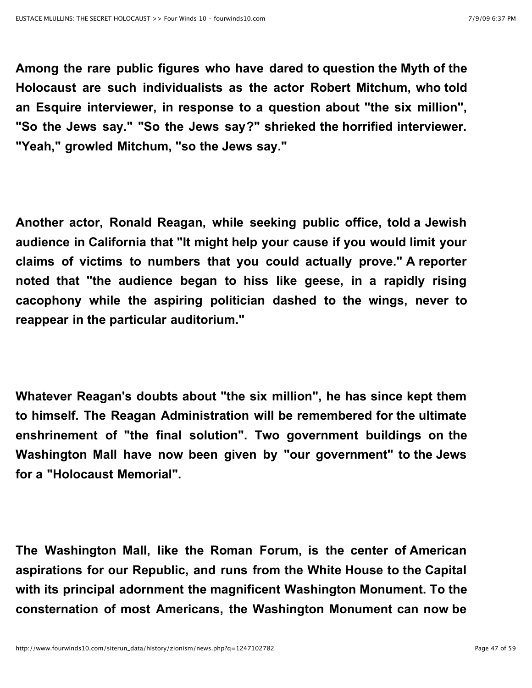**Among the rare public figures who have dared to question the Myth of the Holocaust are such individualists as the actor Robert Mitchum, who told an Esquire interviewer, in response to a question about "the six million", "So the Jews say." "So the Jews say?" shrieked the horrified interviewer. "Yeah," growled Mitchum, "so the Jews say."**

**Another actor, Ronald Reagan, while seeking public office, told a Jewish audience in California that "It might help your cause if you would limit your claims of victims to numbers that you could actually prove." A reporter noted that "the audience began to hiss like geese, in a rapidly rising cacophony while the aspiring politician dashed to the wings, never to reappear in the particular auditorium."**

**Whatever Reagan's doubts about "the six million", he has since kept them to himself. The Reagan Administration will be remembered for the ultimate enshrinement of "the final solution". Two government buildings on the Washington Mall have now been given by "our government" to the Jews for a "Holocaust Memorial".**

**The Washington Mall, like the Roman Forum, is the center of American aspirations for our Republic, and runs from the White House to the Capital with its principal adornment the magnificent Washington Monument. To the consternation of most Americans, the Washington Monument can now be**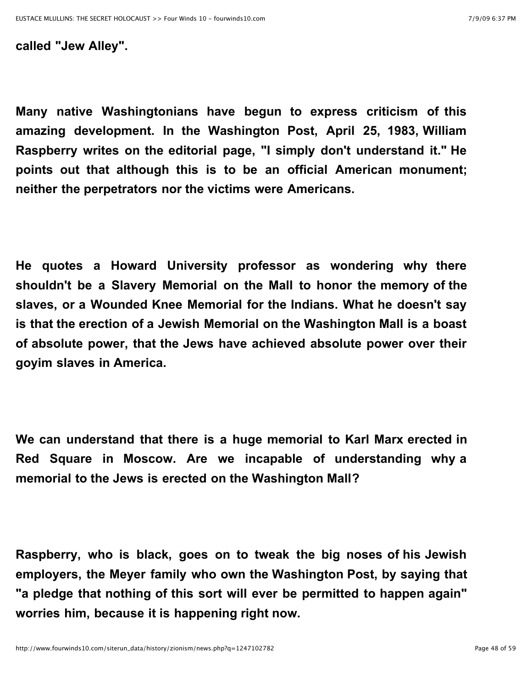**called "Jew Alley".**

**Many native Washingtonians have begun to express criticism of this amazing development. In the Washington Post, April 25, 1983, William Raspberry writes on the editorial page, "I simply don't understand it." He points out that although this is to be an official American monument; neither the perpetrators nor the victims were Americans.**

**He quotes a Howard University professor as wondering why there shouldn't be a Slavery Memorial on the Mall to honor the memory of the slaves, or a Wounded Knee Memorial for the Indians. What he doesn't say is that the erection of a Jewish Memorial on the Washington Mall is a boast of absolute power, that the Jews have achieved absolute power over their goyim slaves in America.**

**We can understand that there is a huge memorial to Karl Marx erected in Red Square in Moscow. Are we incapable of understanding why a memorial to the Jews is erected on the Washington Mall?**

**Raspberry, who is black, goes on to tweak the big noses of his Jewish employers, the Meyer family who own the Washington Post, by saying that "a pledge that nothing of this sort will ever be permitted to happen again" worries him, because it is happening right now.**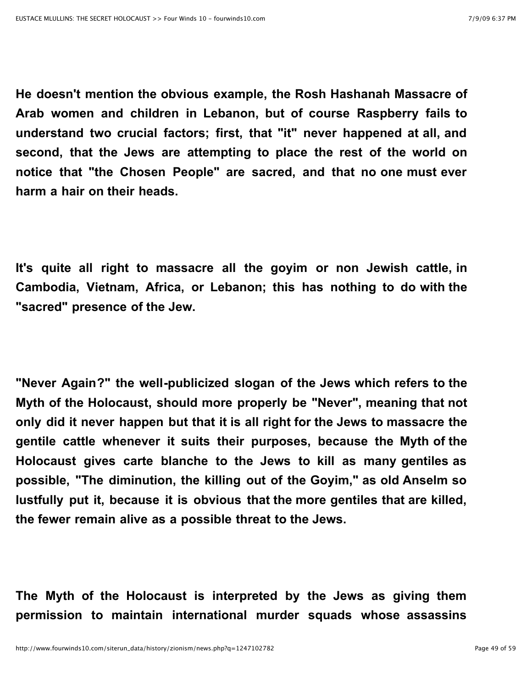**He doesn't mention the obvious example, the Rosh Hashanah Massacre of Arab women and children in Lebanon, but of course Raspberry fails to understand two crucial factors; first, that "it" never happened at all, and second, that the Jews are attempting to place the rest of the world on notice that "the Chosen People" are sacred, and that no one must ever harm a hair on their heads.**

**It's quite all right to massacre all the goyim or non Jewish cattle, in Cambodia, Vietnam, Africa, or Lebanon; this has nothing to do with the "sacred" presence of the Jew.**

**"Never Again?" the well-publicized slogan of the Jews which refers to the Myth of the Holocaust, should more properly be "Never", meaning that not only did it never happen but that it is all right for the Jews to massacre the gentile cattle whenever it suits their purposes, because the Myth of the Holocaust gives carte blanche to the Jews to kill as many gentiles as possible, "The diminution, the killing out of the Goyim," as old Anselm so lustfully put it, because it is obvious that the more gentiles that are killed, the fewer remain alive as a possible threat to the Jews.**

**The Myth of the Holocaust is interpreted by the Jews as giving them permission to maintain international murder squads whose assassins**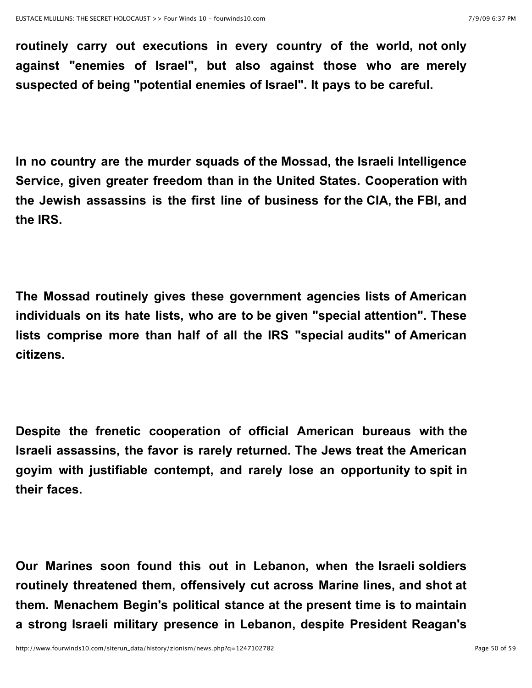**routinely carry out executions in every country of the world, not only against "enemies of Israel", but also against those who are merely suspected of being "potential enemies of Israel". It pays to be careful.**

**In no country are the murder squads of the Mossad, the Israeli Intelligence Service, given greater freedom than in the United States. Cooperation with the Jewish assassins is the first line of business for the CIA, the FBI, and the IRS.**

**The Mossad routinely gives these government agencies lists of American individuals on its hate lists, who are to be given "special attention". These lists comprise more than half of all the IRS "special audits" of American citizens.**

**Despite the frenetic cooperation of official American bureaus with the Israeli assassins, the favor is rarely returned. The Jews treat the American goyim with justifiable contempt, and rarely lose an opportunity to spit in their faces.**

**Our Marines soon found this out in Lebanon, when the Israeli soldiers routinely threatened them, offensively cut across Marine lines, and shot at them. Menachem Begin's political stance at the present time is to maintain a strong Israeli military presence in Lebanon, despite President Reagan's**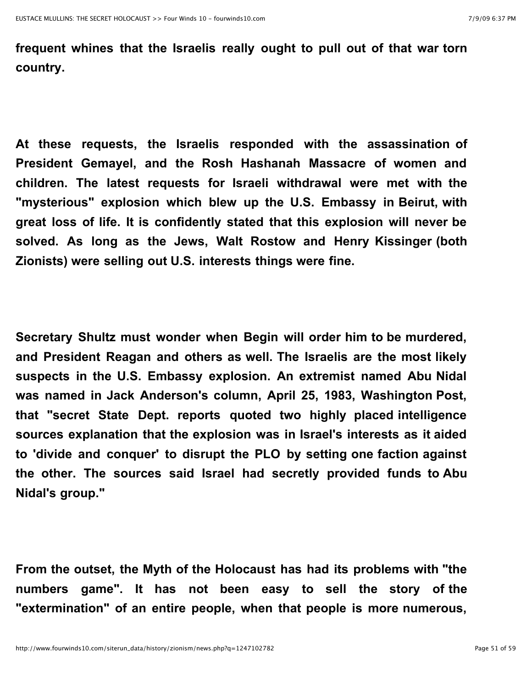**frequent whines that the Israelis really ought to pull out of that war torn country.**

**At these requests, the Israelis responded with the assassination of President Gemayel, and the Rosh Hashanah Massacre of women and children. The latest requests for Israeli withdrawal were met with the "mysterious" explosion which blew up the U.S. Embassy in Beirut, with great loss of life. It is confidently stated that this explosion will never be solved. As long as the Jews, Walt Rostow and Henry Kissinger (both Zionists) were selling out U.S. interests things were fine.**

**Secretary Shultz must wonder when Begin will order him to be murdered, and President Reagan and others as well. The Israelis are the most likely suspects in the U.S. Embassy explosion. An extremist named Abu Nidal was named in Jack Anderson's column, April 25, 1983, Washington Post, that "secret State Dept. reports quoted two highly placed intelligence sources explanation that the explosion was in Israel's interests as it aided to 'divide and conquer' to disrupt the PLO by setting one faction against the other. The sources said Israel had secretly provided funds to Abu Nidal's group."**

**From the outset, the Myth of the Holocaust has had its problems with "the numbers game". It has not been easy to sell the story of the "extermination" of an entire people, when that people is more numerous,**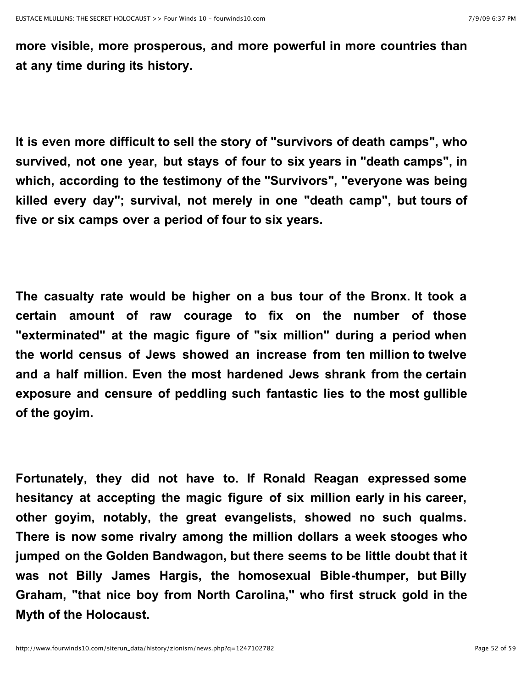**more visible, more prosperous, and more powerful in more countries than at any time during its history.**

**It is even more difficult to sell the story of "survivors of death camps", who survived, not one year, but stays of four to six years in "death camps", in which, according to the testimony of the "Survivors", "everyone was being killed every day"; survival, not merely in one "death camp", but tours of five or six camps over a period of four to six years.**

**The casualty rate would be higher on a bus tour of the Bronx. It took a certain amount of raw courage to fix on the number of those "exterminated" at the magic figure of "six million" during a period when the world census of Jews showed an increase from ten million to twelve and a half million. Even the most hardened Jews shrank from the certain exposure and censure of peddling such fantastic lies to the most gullible of the goyim.**

**Fortunately, they did not have to. If Ronald Reagan expressed some hesitancy at accepting the magic figure of six million early in his career, other goyim, notably, the great evangelists, showed no such qualms. There is now some rivalry among the million dollars a week stooges who jumped on the Golden Bandwagon, but there seems to be little doubt that it was not Billy James Hargis, the homosexual Bible-thumper, but Billy Graham, "that nice boy from North Carolina," who first struck gold in the Myth of the Holocaust.**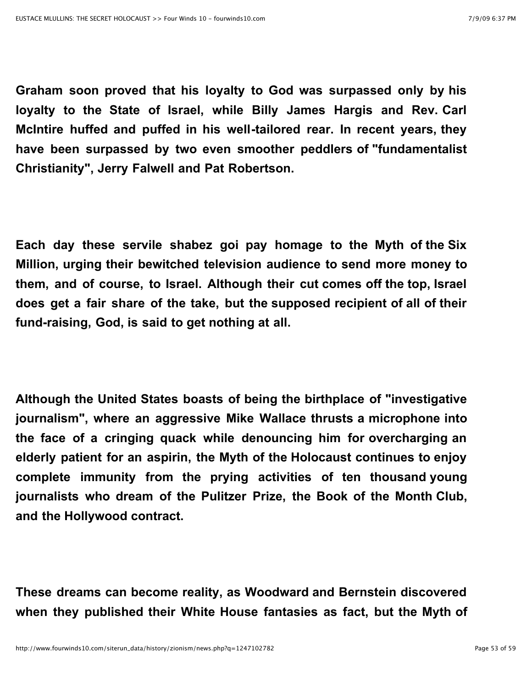**Graham soon proved that his loyalty to God was surpassed only by his loyalty to the State of Israel, while Billy James Hargis and Rev. Carl McIntire huffed and puffed in his well-tailored rear. In recent years, they have been surpassed by two even smoother peddlers of "fundamentalist Christianity", Jerry Falwell and Pat Robertson.**

**Each day these servile shabez goi pay homage to the Myth of the Six Million, urging their bewitched television audience to send more money to them, and of course, to Israel. Although their cut comes off the top, Israel does get a fair share of the take, but the supposed recipient of all of their fund-raising, God, is said to get nothing at all.**

**Although the United States boasts of being the birthplace of "investigative journalism", where an aggressive Mike Wallace thrusts a microphone into the face of a cringing quack while denouncing him for overcharging an elderly patient for an aspirin, the Myth of the Holocaust continues to enjoy complete immunity from the prying activities of ten thousand young journalists who dream of the Pulitzer Prize, the Book of the Month Club, and the Hollywood contract.**

**These dreams can become reality, as Woodward and Bernstein discovered when they published their White House fantasies as fact, but the Myth of**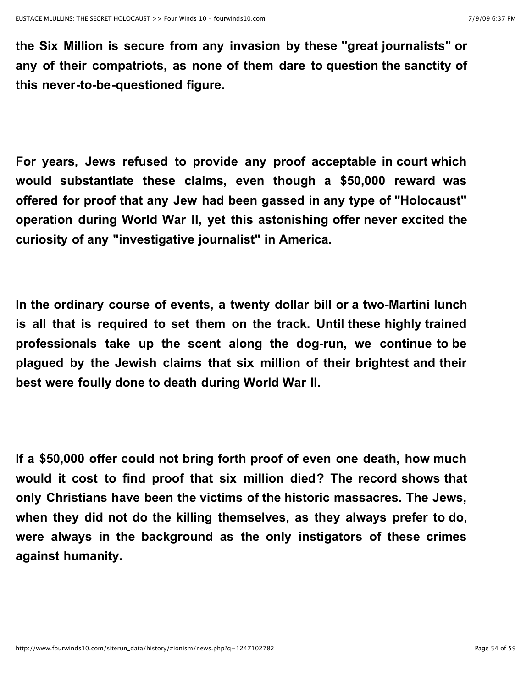**the Six Million is secure from any invasion by these "great journalists" or any of their compatriots, as none of them dare to question the sanctity of this never-to-be-questioned figure.**

**For years, Jews refused to provide any proof acceptable in court which would substantiate these claims, even though a \$50,000 reward was offered for proof that any Jew had been gassed in any type of "Holocaust" operation during World War II, yet this astonishing offer never excited the curiosity of any "investigative journalist" in America.**

**In the ordinary course of events, a twenty dollar bill or a two-Martini lunch is all that is required to set them on the track. Until these highly trained professionals take up the scent along the dog-run, we continue to be plagued by the Jewish claims that six million of their brightest and their best were foully done to death during World War II.**

**If a \$50,000 offer could not bring forth proof of even one death, how much would it cost to find proof that six million died? The record shows that only Christians have been the victims of the historic massacres. The Jews, when they did not do the killing themselves, as they always prefer to do, were always in the background as the only instigators of these crimes against humanity.**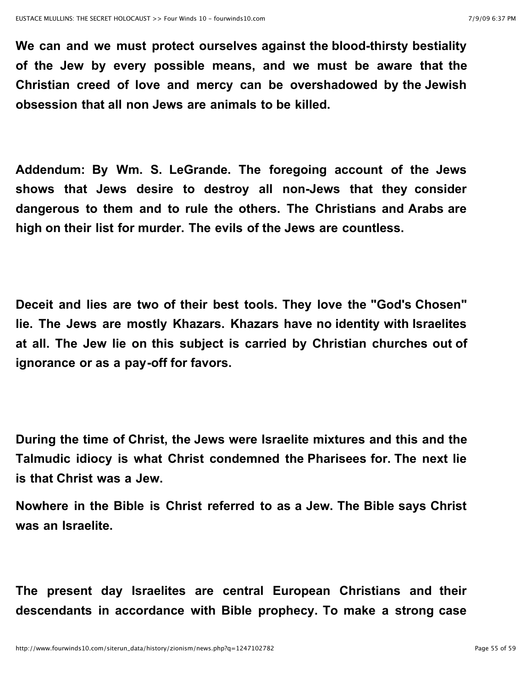**We can and we must protect ourselves against the blood-thirsty bestiality of the Jew by every possible means, and we must be aware that the Christian creed of love and mercy can be overshadowed by the Jewish obsession that all non Jews are animals to be killed.**

**Addendum: By Wm. S. LeGrande. The foregoing account of the Jews shows that Jews desire to destroy all non-Jews that they consider dangerous to them and to rule the others. The Christians and Arabs are high on their list for murder. The evils of the Jews are countless.**

**Deceit and lies are two of their best tools. They love the "God's Chosen" lie. The Jews are mostly Khazars. Khazars have no identity with Israelites at all. The Jew lie on this subject is carried by Christian churches out of ignorance or as a pay-off for favors.**

**During the time of Christ, the Jews were Israelite mixtures and this and the Talmudic idiocy is what Christ condemned the Pharisees for. The next lie is that Christ was a Jew.**

**Nowhere in the Bible is Christ referred to as a Jew. The Bible says Christ was an Israelite.**

**The present day Israelites are central European Christians and their descendants in accordance with Bible prophecy. To make a strong case**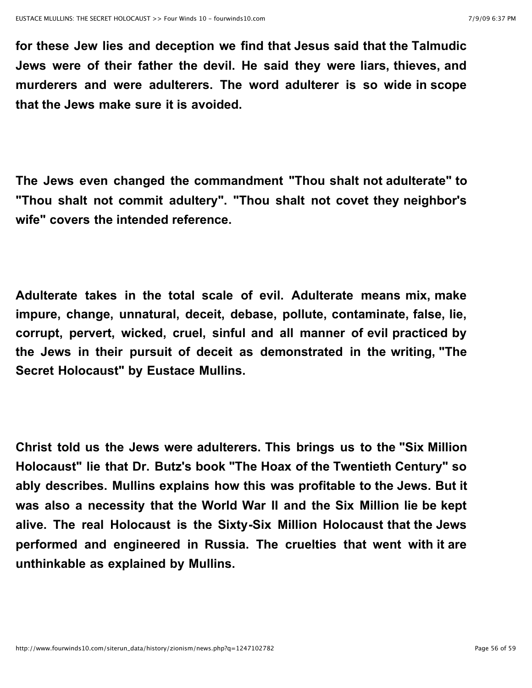**for these Jew lies and deception we find that Jesus said that the Talmudic Jews were of their father the devil. He said they were liars, thieves, and murderers and were adulterers. The word adulterer is so wide in scope that the Jews make sure it is avoided.**

**The Jews even changed the commandment "Thou shalt not adulterate" to "Thou shalt not commit adultery". "Thou shalt not covet they neighbor's wife" covers the intended reference.**

**Adulterate takes in the total scale of evil. Adulterate means mix, make impure, change, unnatural, deceit, debase, pollute, contaminate, false, lie, corrupt, pervert, wicked, cruel, sinful and all manner of evil practiced by the Jews in their pursuit of deceit as demonstrated in the writing, "The Secret Holocaust" by Eustace Mullins.**

**Christ told us the Jews were adulterers. This brings us to the "Six Million Holocaust" lie that Dr. Butz's book "The Hoax of the Twentieth Century" so ably describes. Mullins explains how this was profitable to the Jews. But it was also a necessity that the World War II and the Six Million lie be kept alive. The real Holocaust is the Sixty-Six Million Holocaust that the Jews performed and engineered in Russia. The cruelties that went with it are unthinkable as explained by Mullins.**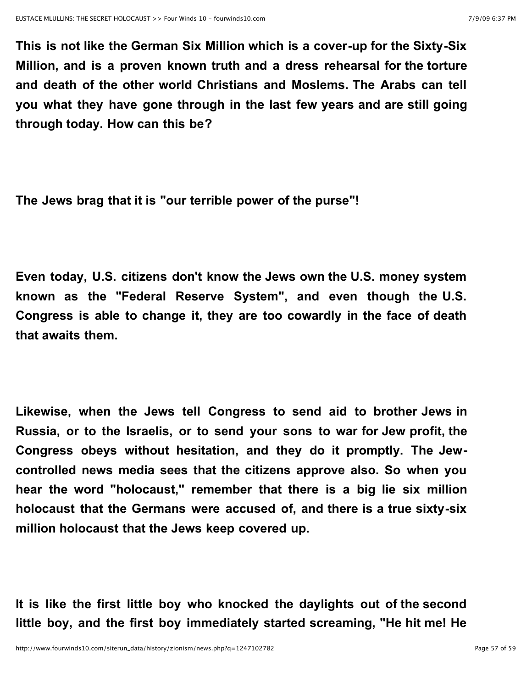**This is not like the German Six Million which is a cover-up for the Sixty-Six Million, and is a proven known truth and a dress rehearsal for the torture and death of the other world Christians and Moslems. The Arabs can tell you what they have gone through in the last few years and are still going through today. How can this be?**

**The Jews brag that it is "our terrible power of the purse"!**

**Even today, U.S. citizens don't know the Jews own the U.S. money system known as the "Federal Reserve System", and even though the U.S. Congress is able to change it, they are too cowardly in the face of death that awaits them.**

**Likewise, when the Jews tell Congress to send aid to brother Jews in Russia, or to the Israelis, or to send your sons to war for Jew profit, the Congress obeys without hesitation, and they do it promptly. The Jewcontrolled news media sees that the citizens approve also. So when you hear the word "holocaust," remember that there is a big lie six million holocaust that the Germans were accused of, and there is a true sixty-six million holocaust that the Jews keep covered up.**

**It is like the first little boy who knocked the daylights out of the second little boy, and the first boy immediately started screaming, "He hit me! He**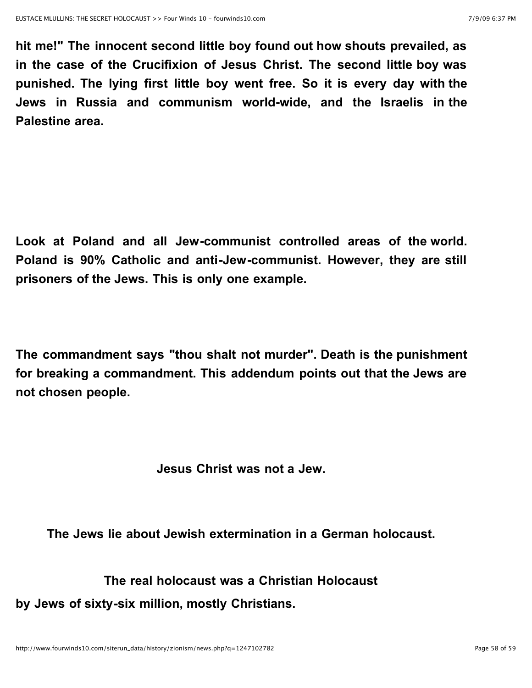**hit me!" The innocent second little boy found out how shouts prevailed, as in the case of the Crucifixion of Jesus Christ. The second little boy was punished. The lying first little boy went free. So it is every day with the Jews in Russia and communism world-wide, and the Israelis in the Palestine area.**

**Look at Poland and all Jew-communist controlled areas of the world. Poland is 90% Catholic and anti-Jew-communist. However, they are still prisoners of the Jews. This is only one example.**

**The commandment says "thou shalt not murder". Death is the punishment for breaking a commandment. This addendum points out that the Jews are not chosen people.**

**Jesus Christ was not a Jew.**

**The Jews lie about Jewish extermination in a German holocaust.**

**The real holocaust was a Christian Holocaust by Jews of sixty-six million, mostly Christians.**